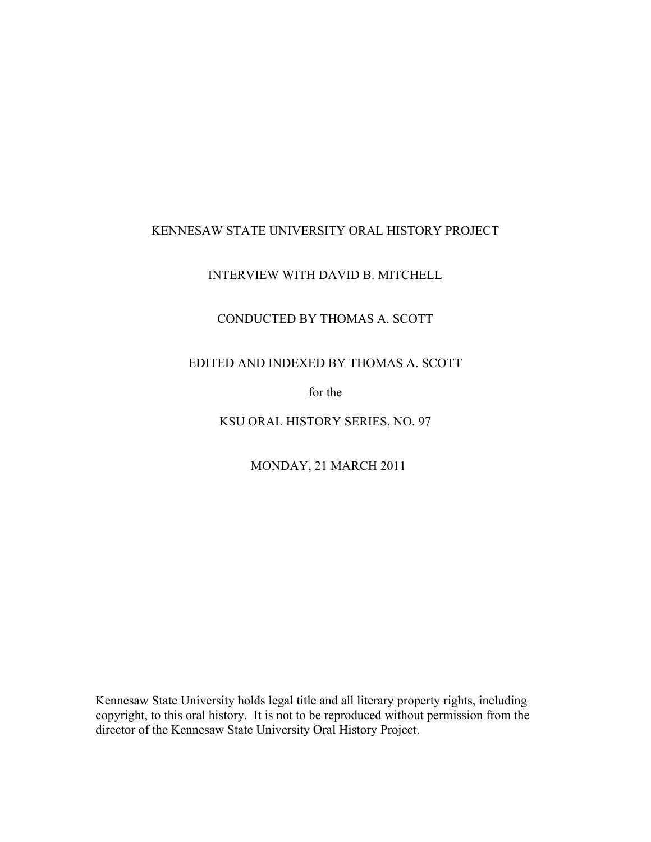## KENNESAW STATE UNIVERSITY ORAL HISTORY PROJECT

## INTERVIEW WITH DAVID B. MITCHELL

# CONDUCTED BY THOMAS A. SCOTT

## EDITED AND INDEXED BY THOMAS A. SCOTT

for the

KSU ORAL HISTORY SERIES, NO. 97

MONDAY, 21 MARCH 2011

Kennesaw State University holds legal title and all literary property rights, including copyright, to this oral history. It is not to be reproduced without permission from the director of the Kennesaw State University Oral History Project.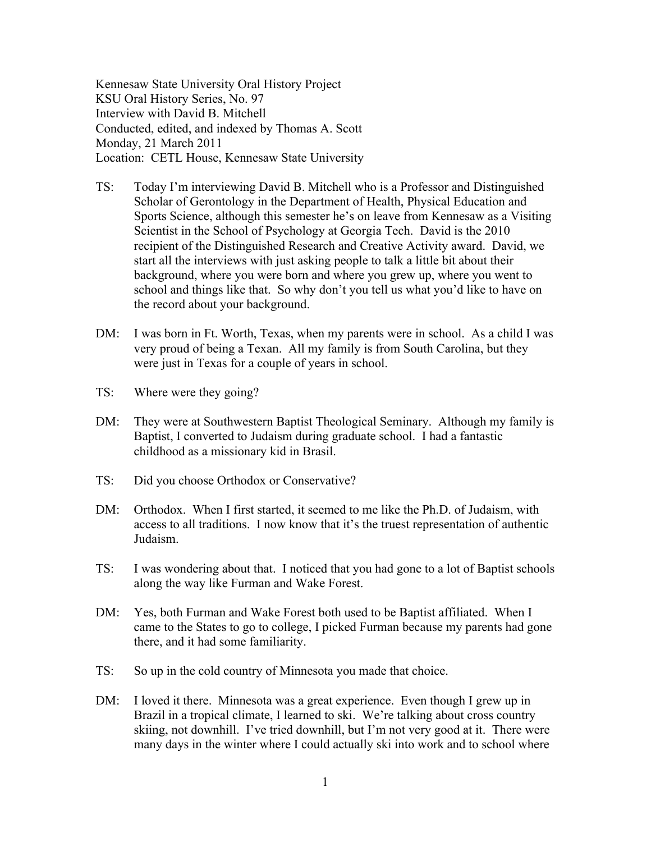Kennesaw State University Oral History Project KSU Oral History Series, No. 97 Interview with David B. Mitchell Conducted, edited, and indexed by Thomas A. Scott Monday, 21 March 2011 Location: CETL House, Kennesaw State University

- TS: Today I'm interviewing David B. Mitchell who is a Professor and Distinguished Scholar of Gerontology in the Department of Health, Physical Education and Sports Science, although this semester he's on leave from Kennesaw as a Visiting Scientist in the School of Psychology at Georgia Tech. David is the 2010 recipient of the Distinguished Research and Creative Activity award. David, we start all the interviews with just asking people to talk a little bit about their background, where you were born and where you grew up, where you went to school and things like that. So why don't you tell us what you'd like to have on the record about your background.
- DM: I was born in Ft. Worth, Texas, when my parents were in school. As a child I was very proud of being a Texan. All my family is from South Carolina, but they were just in Texas for a couple of years in school.
- TS: Where were they going?
- DM: They were at Southwestern Baptist Theological Seminary. Although my family is Baptist, I converted to Judaism during graduate school. I had a fantastic childhood as a missionary kid in Brasil.
- TS: Did you choose Orthodox or Conservative?
- DM: Orthodox. When I first started, it seemed to me like the Ph.D. of Judaism, with access to all traditions. I now know that it's the truest representation of authentic Judaism.
- TS: I was wondering about that. I noticed that you had gone to a lot of Baptist schools along the way like Furman and Wake Forest.
- DM: Yes, both Furman and Wake Forest both used to be Baptist affiliated. When I came to the States to go to college, I picked Furman because my parents had gone there, and it had some familiarity.
- TS: So up in the cold country of Minnesota you made that choice.
- DM: I loved it there. Minnesota was a great experience. Even though I grew up in Brazil in a tropical climate, I learned to ski. We're talking about cross country skiing, not downhill. I've tried downhill, but I'm not very good at it. There were many days in the winter where I could actually ski into work and to school where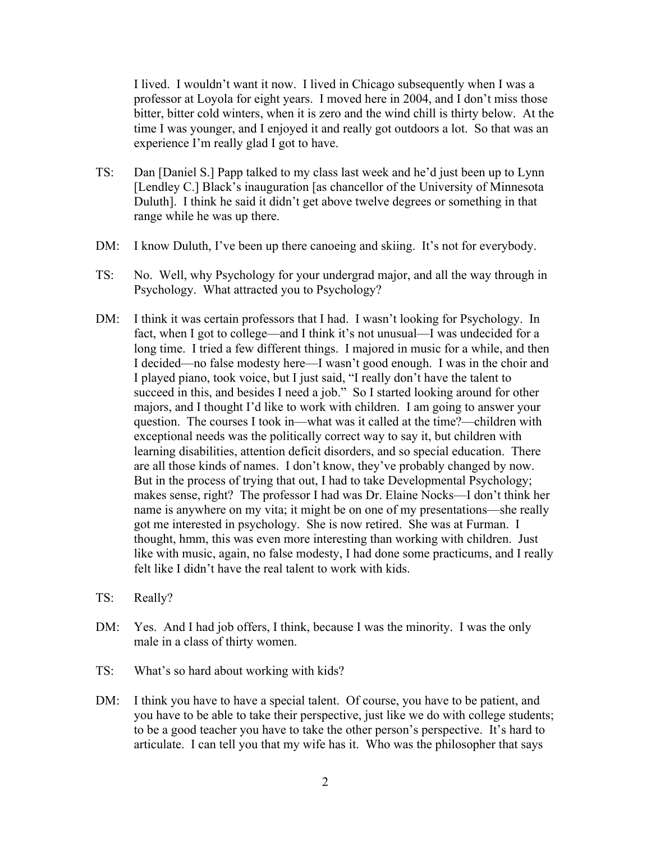I lived. I wouldn't want it now. I lived in Chicago subsequently when I was a professor at Loyola for eight years. I moved here in 2004, and I don't miss those bitter, bitter cold winters, when it is zero and the wind chill is thirty below. At the time I was younger, and I enjoyed it and really got outdoors a lot. So that was an experience I'm really glad I got to have.

- TS: Dan [Daniel S.] Papp talked to my class last week and he'd just been up to Lynn [Lendley C.] Black's inauguration [as chancellor of the University of Minnesota Duluth]. I think he said it didn't get above twelve degrees or something in that range while he was up there.
- DM: I know Duluth, I've been up there canoeing and skiing. It's not for everybody.
- TS: No. Well, why Psychology for your undergrad major, and all the way through in Psychology. What attracted you to Psychology?
- DM: I think it was certain professors that I had. I wasn't looking for Psychology. In fact, when I got to college—and I think it's not unusual—I was undecided for a long time. I tried a few different things. I majored in music for a while, and then I decided—no false modesty here—I wasn't good enough. I was in the choir and I played piano, took voice, but I just said, "I really don't have the talent to succeed in this, and besides I need a job." So I started looking around for other majors, and I thought I'd like to work with children. I am going to answer your question. The courses I took in—what was it called at the time?—children with exceptional needs was the politically correct way to say it, but children with learning disabilities, attention deficit disorders, and so special education. There are all those kinds of names. I don't know, they've probably changed by now. But in the process of trying that out, I had to take Developmental Psychology; makes sense, right? The professor I had was Dr. Elaine Nocks—I don't think her name is anywhere on my vita; it might be on one of my presentations—she really got me interested in psychology. She is now retired. She was at Furman. I thought, hmm, this was even more interesting than working with children. Just like with music, again, no false modesty, I had done some practicums, and I really felt like I didn't have the real talent to work with kids.
- TS: Really?
- DM: Yes. And I had job offers, I think, because I was the minority. I was the only male in a class of thirty women.
- TS: What's so hard about working with kids?
- DM: I think you have to have a special talent. Of course, you have to be patient, and you have to be able to take their perspective, just like we do with college students; to be a good teacher you have to take the other person's perspective. It's hard to articulate. I can tell you that my wife has it. Who was the philosopher that says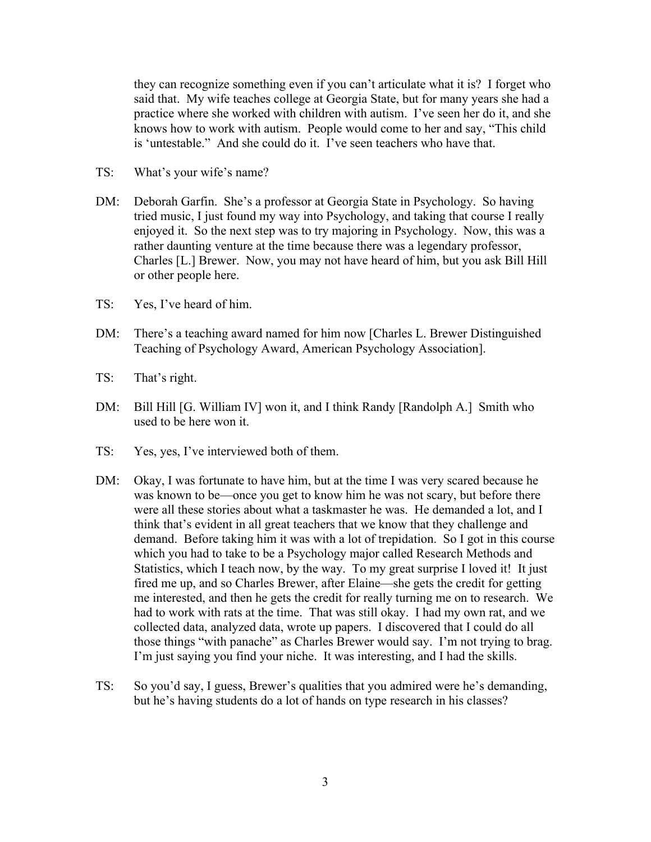they can recognize something even if you can't articulate what it is? I forget who said that. My wife teaches college at Georgia State, but for many years she had a practice where she worked with children with autism. I've seen her do it, and she knows how to work with autism. People would come to her and say, "This child is 'untestable." And she could do it. I've seen teachers who have that.

- TS: What's your wife's name?
- DM: Deborah Garfin. She's a professor at Georgia State in Psychology. So having tried music, I just found my way into Psychology, and taking that course I really enjoyed it. So the next step was to try majoring in Psychology. Now, this was a rather daunting venture at the time because there was a legendary professor, Charles [L.] Brewer. Now, you may not have heard of him, but you ask Bill Hill or other people here.
- TS: Yes, I've heard of him.
- DM: There's a teaching award named for him now [Charles L. Brewer Distinguished Teaching of Psychology Award, American Psychology Association].
- TS: That's right.
- DM: Bill Hill [G. William IV] won it, and I think Randy [Randolph A.] Smith who used to be here won it.
- TS: Yes, yes, I've interviewed both of them.
- DM: Okay, I was fortunate to have him, but at the time I was very scared because he was known to be—once you get to know him he was not scary, but before there were all these stories about what a taskmaster he was. He demanded a lot, and I think that's evident in all great teachers that we know that they challenge and demand. Before taking him it was with a lot of trepidation. So I got in this course which you had to take to be a Psychology major called Research Methods and Statistics, which I teach now, by the way. To my great surprise I loved it! It just fired me up, and so Charles Brewer, after Elaine—she gets the credit for getting me interested, and then he gets the credit for really turning me on to research. We had to work with rats at the time. That was still okay. I had my own rat, and we collected data, analyzed data, wrote up papers. I discovered that I could do all those things "with panache" as Charles Brewer would say. I'm not trying to brag. I'm just saying you find your niche. It was interesting, and I had the skills.
- TS: So you'd say, I guess, Brewer's qualities that you admired were he's demanding, but he's having students do a lot of hands on type research in his classes?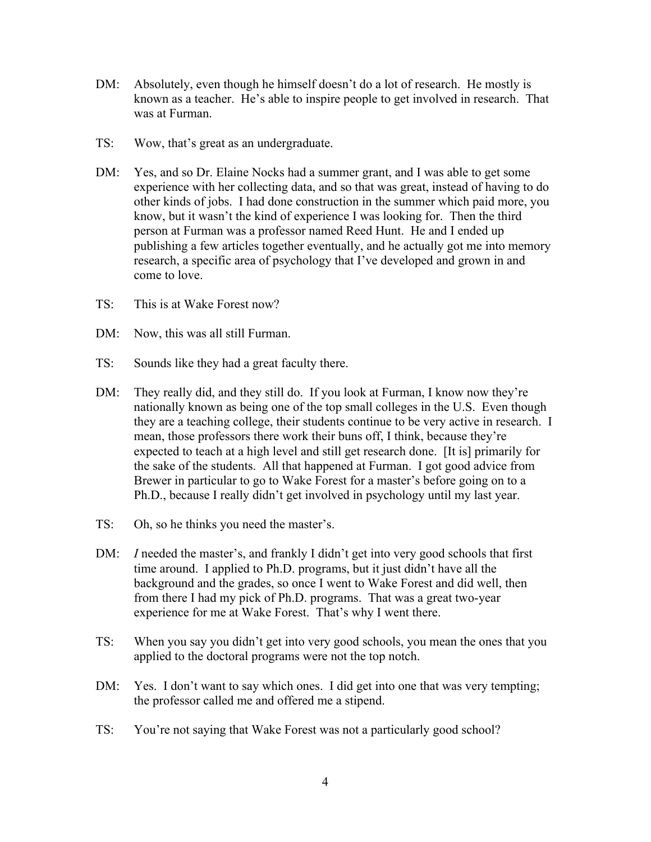- DM: Absolutely, even though he himself doesn't do a lot of research. He mostly is known as a teacher. He's able to inspire people to get involved in research. That was at Furman.
- TS: Wow, that's great as an undergraduate.
- DM: Yes, and so Dr. Elaine Nocks had a summer grant, and I was able to get some experience with her collecting data, and so that was great, instead of having to do other kinds of jobs. I had done construction in the summer which paid more, you know, but it wasn't the kind of experience I was looking for. Then the third person at Furman was a professor named Reed Hunt. He and I ended up publishing a few articles together eventually, and he actually got me into memory research, a specific area of psychology that I've developed and grown in and come to love.
- TS: This is at Wake Forest now?
- DM: Now, this was all still Furman.
- TS: Sounds like they had a great faculty there.
- DM: They really did, and they still do. If you look at Furman, I know now they're nationally known as being one of the top small colleges in the U.S. Even though they are a teaching college, their students continue to be very active in research. I mean, those professors there work their buns off, I think, because they're expected to teach at a high level and still get research done. [It is] primarily for the sake of the students. All that happened at Furman. I got good advice from Brewer in particular to go to Wake Forest for a master's before going on to a Ph.D., because I really didn't get involved in psychology until my last year.
- TS: Oh, so he thinks you need the master's.
- DM: *I* needed the master's, and frankly I didn't get into very good schools that first time around. I applied to Ph.D. programs, but it just didn't have all the background and the grades, so once I went to Wake Forest and did well, then from there I had my pick of Ph.D. programs. That was a great two-year experience for me at Wake Forest. That's why I went there.
- TS: When you say you didn't get into very good schools, you mean the ones that you applied to the doctoral programs were not the top notch.
- DM: Yes. I don't want to say which ones. I did get into one that was very tempting; the professor called me and offered me a stipend.
- TS: You're not saying that Wake Forest was not a particularly good school?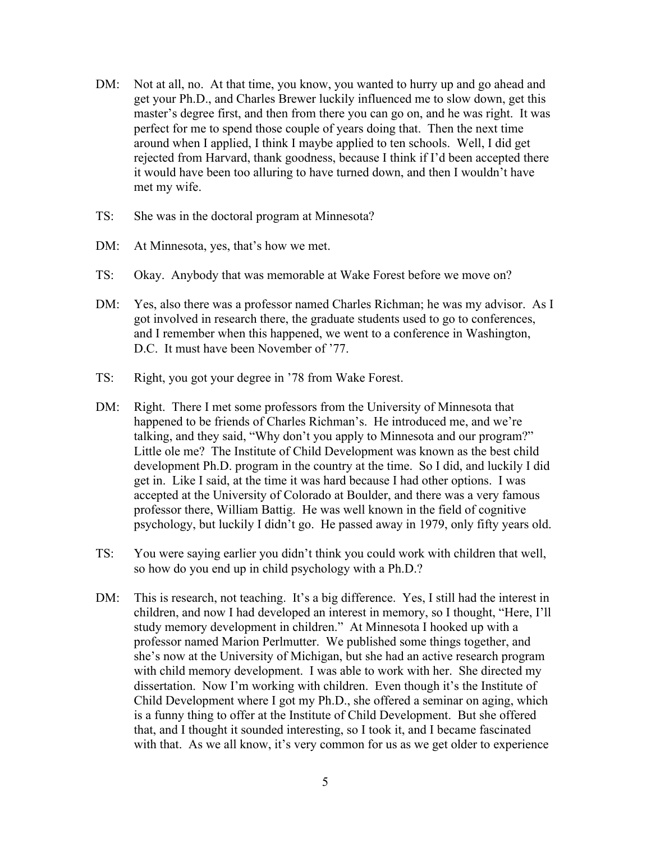- DM: Not at all, no. At that time, you know, you wanted to hurry up and go ahead and get your Ph.D., and Charles Brewer luckily influenced me to slow down, get this master's degree first, and then from there you can go on, and he was right. It was perfect for me to spend those couple of years doing that. Then the next time around when I applied, I think I maybe applied to ten schools. Well, I did get rejected from Harvard, thank goodness, because I think if I'd been accepted there it would have been too alluring to have turned down, and then I wouldn't have met my wife.
- TS: She was in the doctoral program at Minnesota?
- DM: At Minnesota, yes, that's how we met.
- TS: Okay. Anybody that was memorable at Wake Forest before we move on?
- DM: Yes, also there was a professor named Charles Richman; he was my advisor. As I got involved in research there, the graduate students used to go to conferences, and I remember when this happened, we went to a conference in Washington, D.C. It must have been November of '77.
- TS: Right, you got your degree in '78 from Wake Forest.
- DM: Right. There I met some professors from the University of Minnesota that happened to be friends of Charles Richman's. He introduced me, and we're talking, and they said, "Why don't you apply to Minnesota and our program?" Little ole me? The Institute of Child Development was known as the best child development Ph.D. program in the country at the time. So I did, and luckily I did get in. Like I said, at the time it was hard because I had other options. I was accepted at the University of Colorado at Boulder, and there was a very famous professor there, William Battig. He was well known in the field of cognitive psychology, but luckily I didn't go. He passed away in 1979, only fifty years old.
- TS: You were saying earlier you didn't think you could work with children that well, so how do you end up in child psychology with a Ph.D.?
- DM: This is research, not teaching. It's a big difference. Yes, I still had the interest in children, and now I had developed an interest in memory, so I thought, "Here, I'll study memory development in children." At Minnesota I hooked up with a professor named Marion Perlmutter. We published some things together, and she's now at the University of Michigan, but she had an active research program with child memory development. I was able to work with her. She directed my dissertation. Now I'm working with children. Even though it's the Institute of Child Development where I got my Ph.D., she offered a seminar on aging, which is a funny thing to offer at the Institute of Child Development. But she offered that, and I thought it sounded interesting, so I took it, and I became fascinated with that. As we all know, it's very common for us as we get older to experience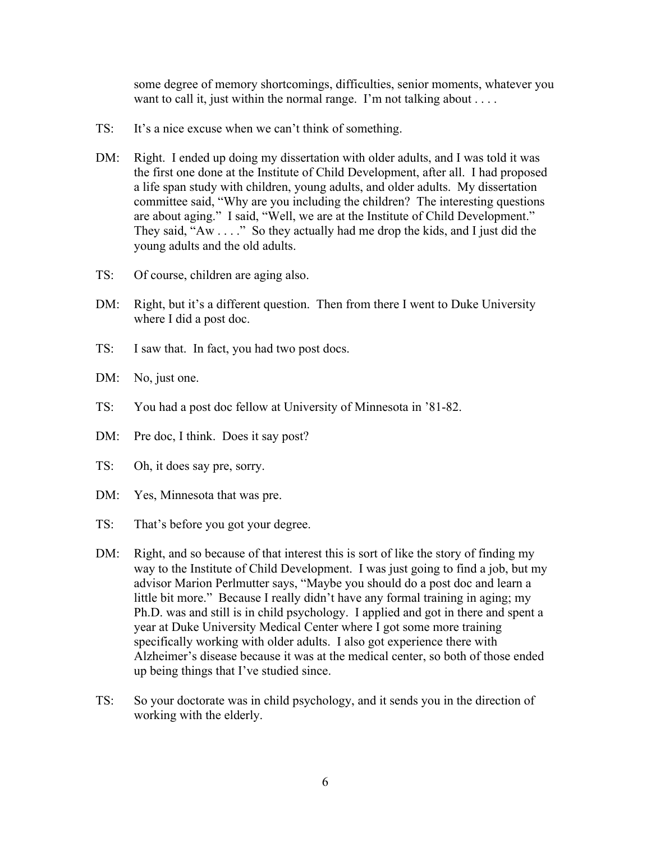some degree of memory shortcomings, difficulties, senior moments, whatever you want to call it, just within the normal range. I'm not talking about . . . .

- TS: It's a nice excuse when we can't think of something.
- DM: Right. I ended up doing my dissertation with older adults, and I was told it was the first one done at the Institute of Child Development, after all. I had proposed a life span study with children, young adults, and older adults. My dissertation committee said, "Why are you including the children? The interesting questions are about aging." I said, "Well, we are at the Institute of Child Development." They said, "Aw . . . ." So they actually had me drop the kids, and I just did the young adults and the old adults.
- TS: Of course, children are aging also.
- DM: Right, but it's a different question. Then from there I went to Duke University where I did a post doc.
- TS: I saw that. In fact, you had two post docs.
- DM: No, just one.
- TS: You had a post doc fellow at University of Minnesota in '81-82.
- DM: Pre doc, I think. Does it say post?
- TS: Oh, it does say pre, sorry.
- DM: Yes, Minnesota that was pre.
- TS: That's before you got your degree.
- DM: Right, and so because of that interest this is sort of like the story of finding my way to the Institute of Child Development. I was just going to find a job, but my advisor Marion Perlmutter says, "Maybe you should do a post doc and learn a little bit more." Because I really didn't have any formal training in aging; my Ph.D. was and still is in child psychology. I applied and got in there and spent a year at Duke University Medical Center where I got some more training specifically working with older adults. I also got experience there with Alzheimer's disease because it was at the medical center, so both of those ended up being things that I've studied since.
- TS: So your doctorate was in child psychology, and it sends you in the direction of working with the elderly.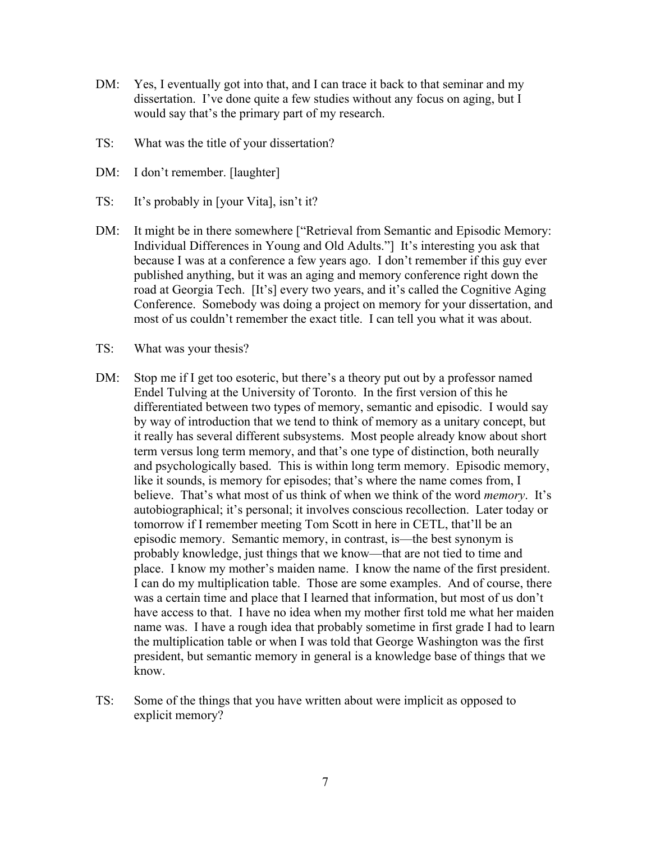- DM: Yes, I eventually got into that, and I can trace it back to that seminar and my dissertation. I've done quite a few studies without any focus on aging, but I would say that's the primary part of my research.
- TS: What was the title of your dissertation?
- DM: I don't remember. [laughter]
- TS: It's probably in [your Vita], isn't it?
- DM: It might be in there somewhere ["Retrieval from Semantic and Episodic Memory: Individual Differences in Young and Old Adults."] It's interesting you ask that because I was at a conference a few years ago. I don't remember if this guy ever published anything, but it was an aging and memory conference right down the road at Georgia Tech. [It's] every two years, and it's called the Cognitive Aging Conference. Somebody was doing a project on memory for your dissertation, and most of us couldn't remember the exact title. I can tell you what it was about.
- TS: What was your thesis?
- DM: Stop me if I get too esoteric, but there's a theory put out by a professor named Endel Tulving at the University of Toronto. In the first version of this he differentiated between two types of memory, semantic and episodic. I would say by way of introduction that we tend to think of memory as a unitary concept, but it really has several different subsystems. Most people already know about short term versus long term memory, and that's one type of distinction, both neurally and psychologically based. This is within long term memory. Episodic memory, like it sounds, is memory for episodes; that's where the name comes from, I believe. That's what most of us think of when we think of the word *memory*. It's autobiographical; it's personal; it involves conscious recollection. Later today or tomorrow if I remember meeting Tom Scott in here in CETL, that'll be an episodic memory. Semantic memory, in contrast, is—the best synonym is probably knowledge, just things that we know—that are not tied to time and place. I know my mother's maiden name. I know the name of the first president. I can do my multiplication table. Those are some examples. And of course, there was a certain time and place that I learned that information, but most of us don't have access to that. I have no idea when my mother first told me what her maiden name was. I have a rough idea that probably sometime in first grade I had to learn the multiplication table or when I was told that George Washington was the first president, but semantic memory in general is a knowledge base of things that we know.
- TS: Some of the things that you have written about were implicit as opposed to explicit memory?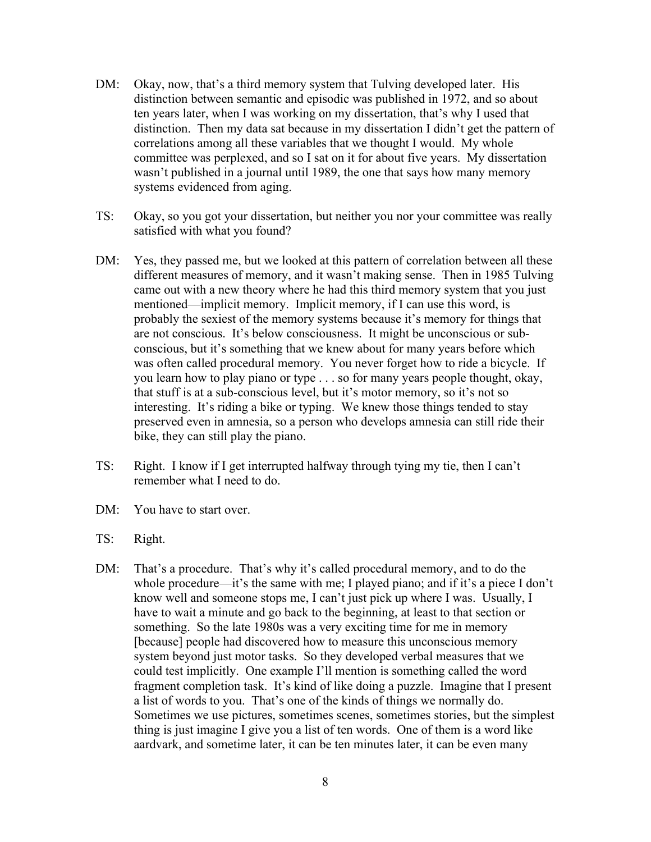- DM: Okay, now, that's a third memory system that Tulving developed later. His distinction between semantic and episodic was published in 1972, and so about ten years later, when I was working on my dissertation, that's why I used that distinction. Then my data sat because in my dissertation I didn't get the pattern of correlations among all these variables that we thought I would. My whole committee was perplexed, and so I sat on it for about five years. My dissertation wasn't published in a journal until 1989, the one that says how many memory systems evidenced from aging.
- TS: Okay, so you got your dissertation, but neither you nor your committee was really satisfied with what you found?
- DM: Yes, they passed me, but we looked at this pattern of correlation between all these different measures of memory, and it wasn't making sense. Then in 1985 Tulving came out with a new theory where he had this third memory system that you just mentioned—implicit memory. Implicit memory, if I can use this word, is probably the sexiest of the memory systems because it's memory for things that are not conscious. It's below consciousness. It might be unconscious or subconscious, but it's something that we knew about for many years before which was often called procedural memory. You never forget how to ride a bicycle. If you learn how to play piano or type . . . so for many years people thought, okay, that stuff is at a sub-conscious level, but it's motor memory, so it's not so interesting. It's riding a bike or typing. We knew those things tended to stay preserved even in amnesia, so a person who develops amnesia can still ride their bike, they can still play the piano.
- TS: Right. I know if I get interrupted halfway through tying my tie, then I can't remember what I need to do.
- DM: You have to start over.
- TS: Right.
- DM: That's a procedure. That's why it's called procedural memory, and to do the whole procedure—it's the same with me; I played piano; and if it's a piece I don't know well and someone stops me, I can't just pick up where I was. Usually, I have to wait a minute and go back to the beginning, at least to that section or something. So the late 1980s was a very exciting time for me in memory [because] people had discovered how to measure this unconscious memory system beyond just motor tasks. So they developed verbal measures that we could test implicitly. One example I'll mention is something called the word fragment completion task. It's kind of like doing a puzzle. Imagine that I present a list of words to you. That's one of the kinds of things we normally do. Sometimes we use pictures, sometimes scenes, sometimes stories, but the simplest thing is just imagine I give you a list of ten words. One of them is a word like aardvark, and sometime later, it can be ten minutes later, it can be even many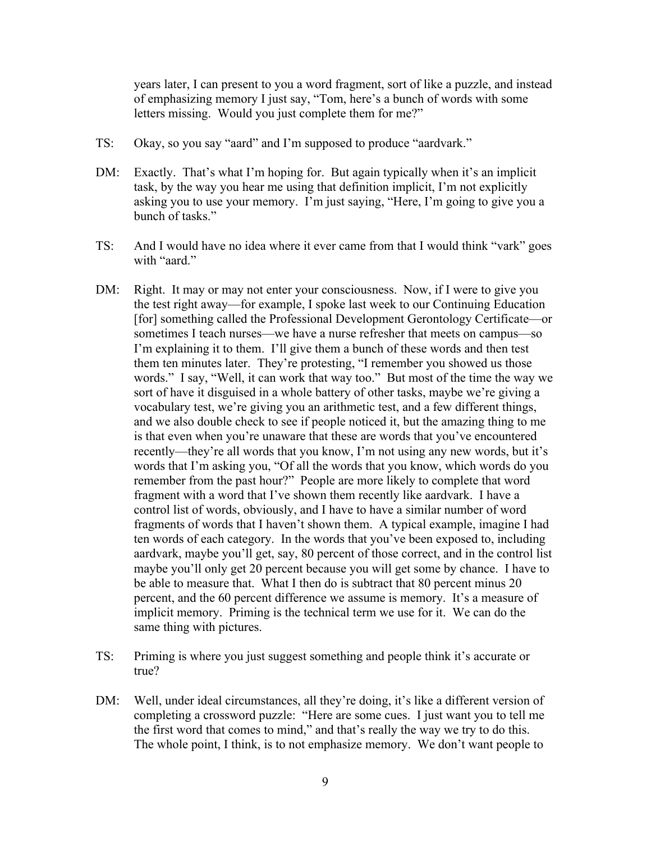years later, I can present to you a word fragment, sort of like a puzzle, and instead of emphasizing memory I just say, "Tom, here's a bunch of words with some letters missing. Would you just complete them for me?"

- TS: Okay, so you say "aard" and I'm supposed to produce "aardvark."
- DM: Exactly. That's what I'm hoping for. But again typically when it's an implicit task, by the way you hear me using that definition implicit, I'm not explicitly asking you to use your memory. I'm just saying, "Here, I'm going to give you a bunch of tasks."
- TS: And I would have no idea where it ever came from that I would think "vark" goes with "aard."
- DM: Right. It may or may not enter your consciousness. Now, if I were to give you the test right away—for example, I spoke last week to our Continuing Education [for] something called the Professional Development Gerontology Certificate—or sometimes I teach nurses—we have a nurse refresher that meets on campus—so I'm explaining it to them. I'll give them a bunch of these words and then test them ten minutes later. They're protesting, "I remember you showed us those words." I say, "Well, it can work that way too." But most of the time the way we sort of have it disguised in a whole battery of other tasks, maybe we're giving a vocabulary test, we're giving you an arithmetic test, and a few different things, and we also double check to see if people noticed it, but the amazing thing to me is that even when you're unaware that these are words that you've encountered recently—they're all words that you know, I'm not using any new words, but it's words that I'm asking you, "Of all the words that you know, which words do you remember from the past hour?" People are more likely to complete that word fragment with a word that I've shown them recently like aardvark. I have a control list of words, obviously, and I have to have a similar number of word fragments of words that I haven't shown them. A typical example, imagine I had ten words of each category. In the words that you've been exposed to, including aardvark, maybe you'll get, say, 80 percent of those correct, and in the control list maybe you'll only get 20 percent because you will get some by chance. I have to be able to measure that. What I then do is subtract that 80 percent minus 20 percent, and the 60 percent difference we assume is memory. It's a measure of implicit memory. Priming is the technical term we use for it. We can do the same thing with pictures.
- TS: Priming is where you just suggest something and people think it's accurate or true?
- DM: Well, under ideal circumstances, all they're doing, it's like a different version of completing a crossword puzzle: "Here are some cues. I just want you to tell me the first word that comes to mind," and that's really the way we try to do this. The whole point, I think, is to not emphasize memory. We don't want people to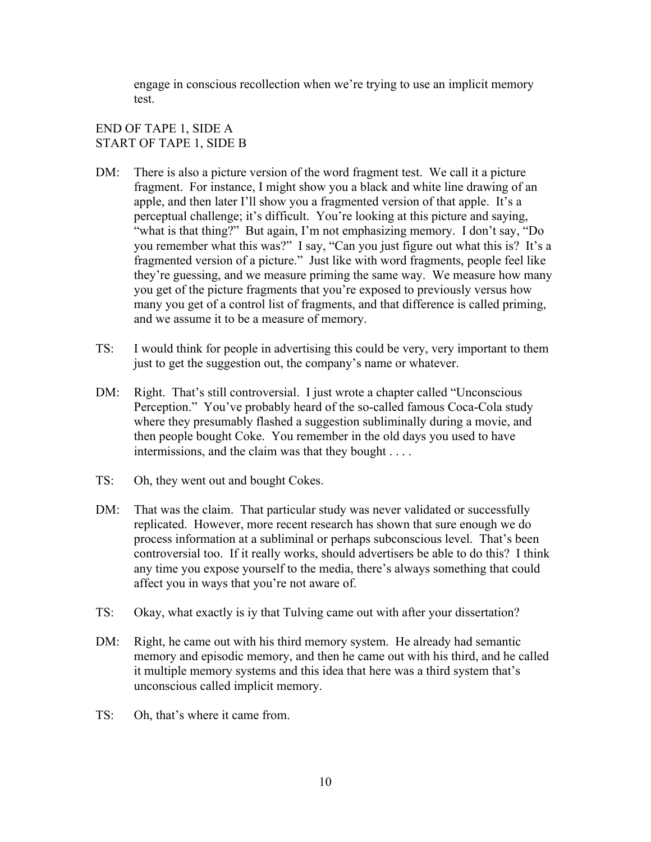engage in conscious recollection when we're trying to use an implicit memory test.

# END OF TAPE 1, SIDE A START OF TAPE 1, SIDE B

- DM: There is also a picture version of the word fragment test. We call it a picture fragment. For instance, I might show you a black and white line drawing of an apple, and then later I'll show you a fragmented version of that apple. It's a perceptual challenge; it's difficult. You're looking at this picture and saying, "what is that thing?" But again, I'm not emphasizing memory. I don't say, "Do you remember what this was?" I say, "Can you just figure out what this is? It's a fragmented version of a picture." Just like with word fragments, people feel like they're guessing, and we measure priming the same way. We measure how many you get of the picture fragments that you're exposed to previously versus how many you get of a control list of fragments, and that difference is called priming, and we assume it to be a measure of memory.
- TS: I would think for people in advertising this could be very, very important to them just to get the suggestion out, the company's name or whatever.
- DM: Right. That's still controversial. I just wrote a chapter called "Unconscious Perception." You've probably heard of the so-called famous Coca-Cola study where they presumably flashed a suggestion subliminally during a movie, and then people bought Coke. You remember in the old days you used to have intermissions, and the claim was that they bought . . . .
- TS: Oh, they went out and bought Cokes.
- DM: That was the claim. That particular study was never validated or successfully replicated. However, more recent research has shown that sure enough we do process information at a subliminal or perhaps subconscious level. That's been controversial too. If it really works, should advertisers be able to do this? I think any time you expose yourself to the media, there's always something that could affect you in ways that you're not aware of.
- TS: Okay, what exactly is iy that Tulving came out with after your dissertation?
- DM: Right, he came out with his third memory system. He already had semantic memory and episodic memory, and then he came out with his third, and he called it multiple memory systems and this idea that here was a third system that's unconscious called implicit memory.
- TS: Oh, that's where it came from.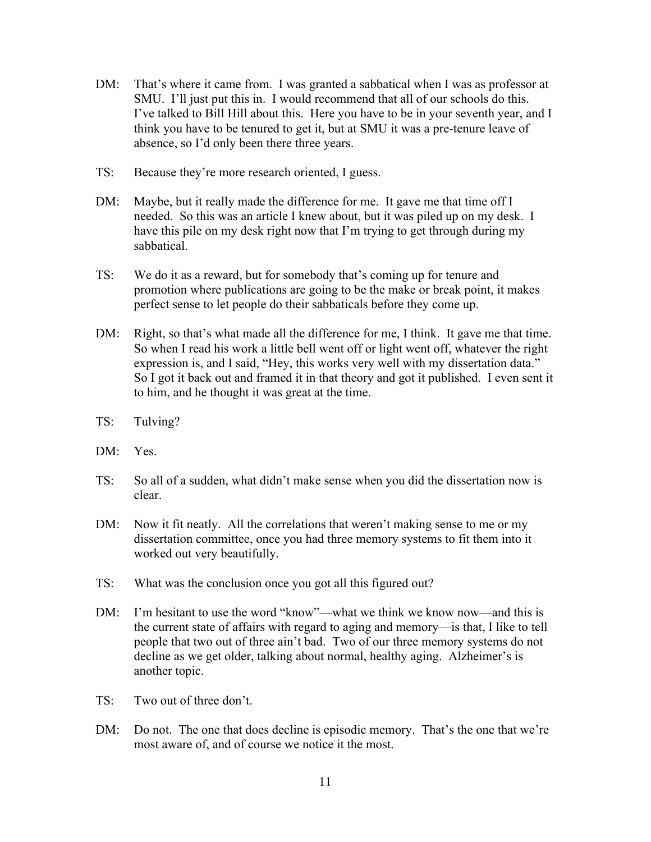- DM: That's where it came from. I was granted a sabbatical when I was as professor at SMU. I'll just put this in. I would recommend that all of our schools do this. I've talked to Bill Hill about this. Here you have to be in your seventh year, and I think you have to be tenured to get it, but at SMU it was a pre-tenure leave of absence, so I'd only been there three years.
- TS: Because they're more research oriented, I guess.
- DM: Maybe, but it really made the difference for me. It gave me that time off I needed. So this was an article I knew about, but it was piled up on my desk. I have this pile on my desk right now that I'm trying to get through during my sabbatical.
- TS: We do it as a reward, but for somebody that's coming up for tenure and promotion where publications are going to be the make or break point, it makes perfect sense to let people do their sabbaticals before they come up.
- DM: Right, so that's what made all the difference for me, I think. It gave me that time. So when I read his work a little bell went off or light went off, whatever the right expression is, and I said, "Hey, this works very well with my dissertation data." So I got it back out and framed it in that theory and got it published. I even sent it to him, and he thought it was great at the time.
- TS: Tulving?
- DM: Yes.
- TS: So all of a sudden, what didn't make sense when you did the dissertation now is clear.
- DM: Now it fit neatly. All the correlations that weren't making sense to me or my dissertation committee, once you had three memory systems to fit them into it worked out very beautifully.
- TS: What was the conclusion once you got all this figured out?
- DM: I'm hesitant to use the word "know"—what we think we know now—and this is the current state of affairs with regard to aging and memory—is that, I like to tell people that two out of three ain't bad. Two of our three memory systems do not decline as we get older, talking about normal, healthy aging. Alzheimer's is another topic.
- TS: Two out of three don't.
- DM: Do not. The one that does decline is episodic memory. That's the one that we're most aware of, and of course we notice it the most.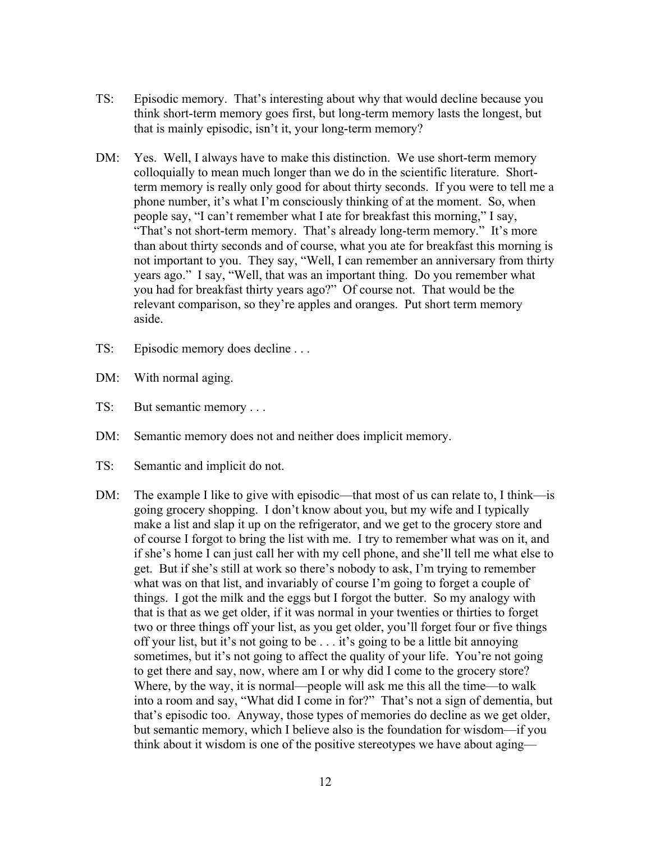- TS: Episodic memory. That's interesting about why that would decline because you think short-term memory goes first, but long-term memory lasts the longest, but that is mainly episodic, isn't it, your long-term memory?
- DM: Yes. Well, I always have to make this distinction. We use short-term memory colloquially to mean much longer than we do in the scientific literature. Shortterm memory is really only good for about thirty seconds. If you were to tell me a phone number, it's what I'm consciously thinking of at the moment. So, when people say, "I can't remember what I ate for breakfast this morning," I say, "That's not short-term memory. That's already long-term memory." It's more than about thirty seconds and of course, what you ate for breakfast this morning is not important to you. They say, "Well, I can remember an anniversary from thirty years ago." I say, "Well, that was an important thing. Do you remember what you had for breakfast thirty years ago?" Of course not. That would be the relevant comparison, so they're apples and oranges. Put short term memory aside.
- TS: Episodic memory does decline . . .
- DM: With normal aging.
- TS: But semantic memory . . .
- DM: Semantic memory does not and neither does implicit memory.
- TS: Semantic and implicit do not.
- DM: The example I like to give with episodic—that most of us can relate to, I think—is going grocery shopping. I don't know about you, but my wife and I typically make a list and slap it up on the refrigerator, and we get to the grocery store and of course I forgot to bring the list with me. I try to remember what was on it, and if she's home I can just call her with my cell phone, and she'll tell me what else to get. But if she's still at work so there's nobody to ask, I'm trying to remember what was on that list, and invariably of course I'm going to forget a couple of things. I got the milk and the eggs but I forgot the butter. So my analogy with that is that as we get older, if it was normal in your twenties or thirties to forget two or three things off your list, as you get older, you'll forget four or five things off your list, but it's not going to be . . . it's going to be a little bit annoying sometimes, but it's not going to affect the quality of your life. You're not going to get there and say, now, where am I or why did I come to the grocery store? Where, by the way, it is normal—people will ask me this all the time—to walk into a room and say, "What did I come in for?" That's not a sign of dementia, but that's episodic too. Anyway, those types of memories do decline as we get older, but semantic memory, which I believe also is the foundation for wisdom—if you think about it wisdom is one of the positive stereotypes we have about aging—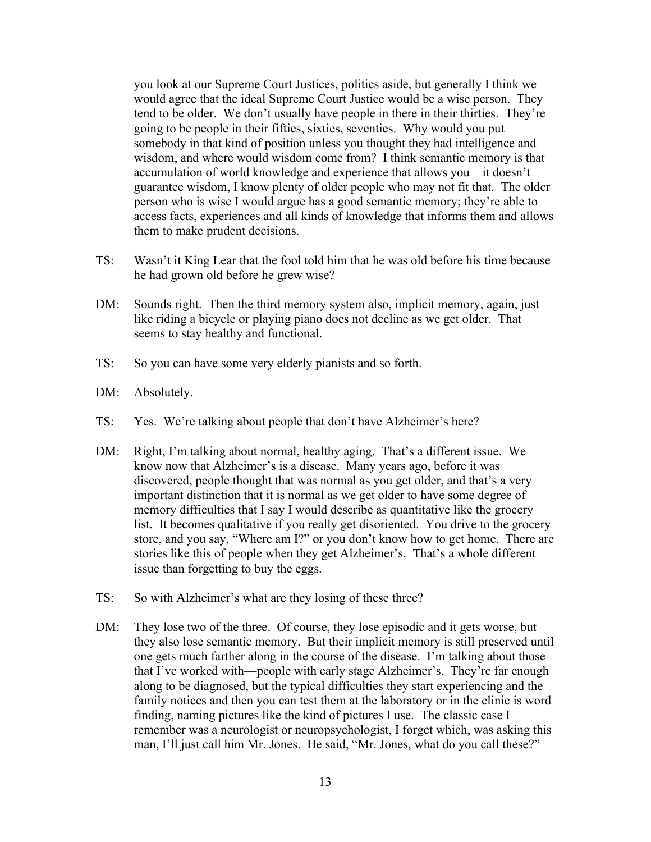you look at our Supreme Court Justices, politics aside, but generally I think we would agree that the ideal Supreme Court Justice would be a wise person. They tend to be older. We don't usually have people in there in their thirties. They're going to be people in their fifties, sixties, seventies. Why would you put somebody in that kind of position unless you thought they had intelligence and wisdom, and where would wisdom come from? I think semantic memory is that accumulation of world knowledge and experience that allows you—it doesn't guarantee wisdom, I know plenty of older people who may not fit that. The older person who is wise I would argue has a good semantic memory; they're able to access facts, experiences and all kinds of knowledge that informs them and allows them to make prudent decisions.

- TS: Wasn't it King Lear that the fool told him that he was old before his time because he had grown old before he grew wise?
- DM: Sounds right. Then the third memory system also, implicit memory, again, just like riding a bicycle or playing piano does not decline as we get older. That seems to stay healthy and functional.
- TS: So you can have some very elderly pianists and so forth.
- DM: Absolutely.
- TS: Yes. We're talking about people that don't have Alzheimer's here?
- DM: Right, I'm talking about normal, healthy aging. That's a different issue. We know now that Alzheimer's is a disease. Many years ago, before it was discovered, people thought that was normal as you get older, and that's a very important distinction that it is normal as we get older to have some degree of memory difficulties that I say I would describe as quantitative like the grocery list. It becomes qualitative if you really get disoriented. You drive to the grocery store, and you say, "Where am I?" or you don't know how to get home. There are stories like this of people when they get Alzheimer's. That's a whole different issue than forgetting to buy the eggs.
- TS: So with Alzheimer's what are they losing of these three?
- DM: They lose two of the three. Of course, they lose episodic and it gets worse, but they also lose semantic memory. But their implicit memory is still preserved until one gets much farther along in the course of the disease. I'm talking about those that I've worked with—people with early stage Alzheimer's. They're far enough along to be diagnosed, but the typical difficulties they start experiencing and the family notices and then you can test them at the laboratory or in the clinic is word finding, naming pictures like the kind of pictures I use. The classic case I remember was a neurologist or neuropsychologist, I forget which, was asking this man, I'll just call him Mr. Jones. He said, "Mr. Jones, what do you call these?"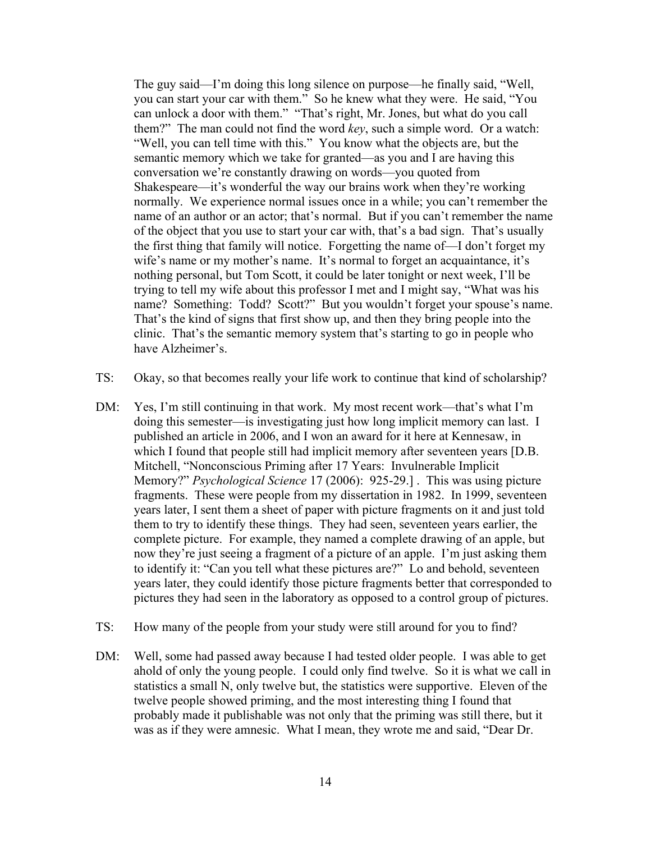The guy said—I'm doing this long silence on purpose—he finally said, "Well, you can start your car with them." So he knew what they were. He said, "You can unlock a door with them." "That's right, Mr. Jones, but what do you call them?" The man could not find the word *key*, such a simple word. Or a watch: "Well, you can tell time with this." You know what the objects are, but the semantic memory which we take for granted—as you and I are having this conversation we're constantly drawing on words—you quoted from Shakespeare—it's wonderful the way our brains work when they're working normally. We experience normal issues once in a while; you can't remember the name of an author or an actor; that's normal. But if you can't remember the name of the object that you use to start your car with, that's a bad sign. That's usually the first thing that family will notice. Forgetting the name of—I don't forget my wife's name or my mother's name. It's normal to forget an acquaintance, it's nothing personal, but Tom Scott, it could be later tonight or next week, I'll be trying to tell my wife about this professor I met and I might say, "What was his name? Something: Todd? Scott?" But you wouldn't forget your spouse's name. That's the kind of signs that first show up, and then they bring people into the clinic. That's the semantic memory system that's starting to go in people who have Alzheimer's.

- TS: Okay, so that becomes really your life work to continue that kind of scholarship?
- DM: Yes, I'm still continuing in that work. My most recent work—that's what I'm doing this semester—is investigating just how long implicit memory can last. I published an article in 2006, and I won an award for it here at Kennesaw, in which I found that people still had implicit memory after seventeen years [D.B. Mitchell, "Nonconscious Priming after 17 Years: Invulnerable Implicit Memory?" *Psychological Science* 17 (2006): 925-29.] . This was using picture fragments. These were people from my dissertation in 1982. In 1999, seventeen years later, I sent them a sheet of paper with picture fragments on it and just told them to try to identify these things. They had seen, seventeen years earlier, the complete picture. For example, they named a complete drawing of an apple, but now they're just seeing a fragment of a picture of an apple. I'm just asking them to identify it: "Can you tell what these pictures are?" Lo and behold, seventeen years later, they could identify those picture fragments better that corresponded to pictures they had seen in the laboratory as opposed to a control group of pictures.
- TS: How many of the people from your study were still around for you to find?
- DM: Well, some had passed away because I had tested older people. I was able to get ahold of only the young people. I could only find twelve. So it is what we call in statistics a small N, only twelve but, the statistics were supportive. Eleven of the twelve people showed priming, and the most interesting thing I found that probably made it publishable was not only that the priming was still there, but it was as if they were amnesic. What I mean, they wrote me and said, "Dear Dr.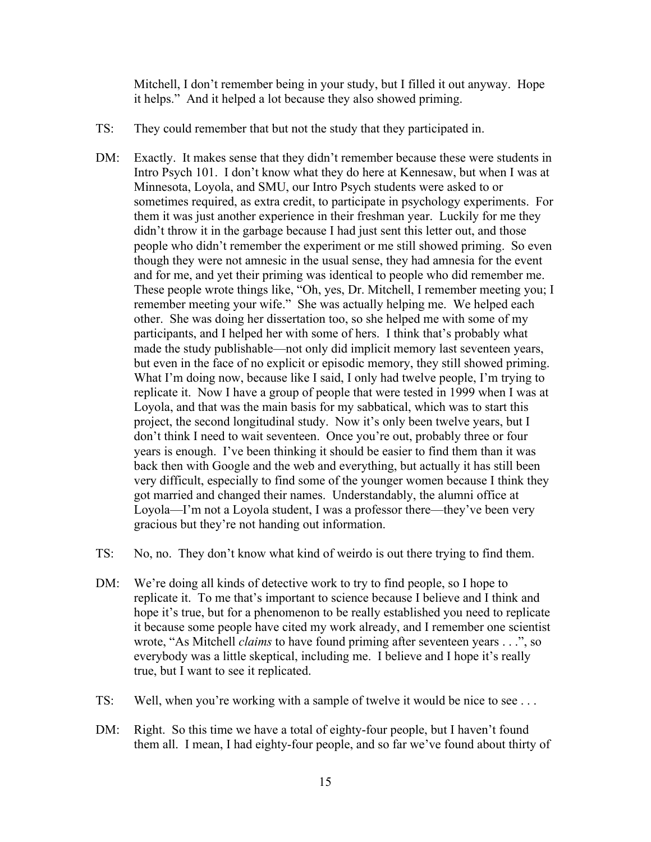Mitchell, I don't remember being in your study, but I filled it out anyway. Hope it helps." And it helped a lot because they also showed priming.

- TS: They could remember that but not the study that they participated in.
- DM: Exactly. It makes sense that they didn't remember because these were students in Intro Psych 101. I don't know what they do here at Kennesaw, but when I was at Minnesota, Loyola, and SMU, our Intro Psych students were asked to or sometimes required, as extra credit, to participate in psychology experiments. For them it was just another experience in their freshman year. Luckily for me they didn't throw it in the garbage because I had just sent this letter out, and those people who didn't remember the experiment or me still showed priming. So even though they were not amnesic in the usual sense, they had amnesia for the event and for me, and yet their priming was identical to people who did remember me. These people wrote things like, "Oh, yes, Dr. Mitchell, I remember meeting you; I remember meeting your wife." She was actually helping me. We helped each other. She was doing her dissertation too, so she helped me with some of my participants, and I helped her with some of hers. I think that's probably what made the study publishable—not only did implicit memory last seventeen years, but even in the face of no explicit or episodic memory, they still showed priming. What I'm doing now, because like I said, I only had twelve people, I'm trying to replicate it. Now I have a group of people that were tested in 1999 when I was at Loyola, and that was the main basis for my sabbatical, which was to start this project, the second longitudinal study. Now it's only been twelve years, but I don't think I need to wait seventeen. Once you're out, probably three or four years is enough. I've been thinking it should be easier to find them than it was back then with Google and the web and everything, but actually it has still been very difficult, especially to find some of the younger women because I think they got married and changed their names. Understandably, the alumni office at Loyola—I'm not a Loyola student, I was a professor there—they've been very gracious but they're not handing out information.
- TS: No, no. They don't know what kind of weirdo is out there trying to find them.
- DM: We're doing all kinds of detective work to try to find people, so I hope to replicate it. To me that's important to science because I believe and I think and hope it's true, but for a phenomenon to be really established you need to replicate it because some people have cited my work already, and I remember one scientist wrote, "As Mitchell *claims* to have found priming after seventeen years . . .", so everybody was a little skeptical, including me. I believe and I hope it's really true, but I want to see it replicated.
- TS: Well, when you're working with a sample of twelve it would be nice to see . . .
- DM: Right. So this time we have a total of eighty-four people, but I haven't found them all. I mean, I had eighty-four people, and so far we've found about thirty of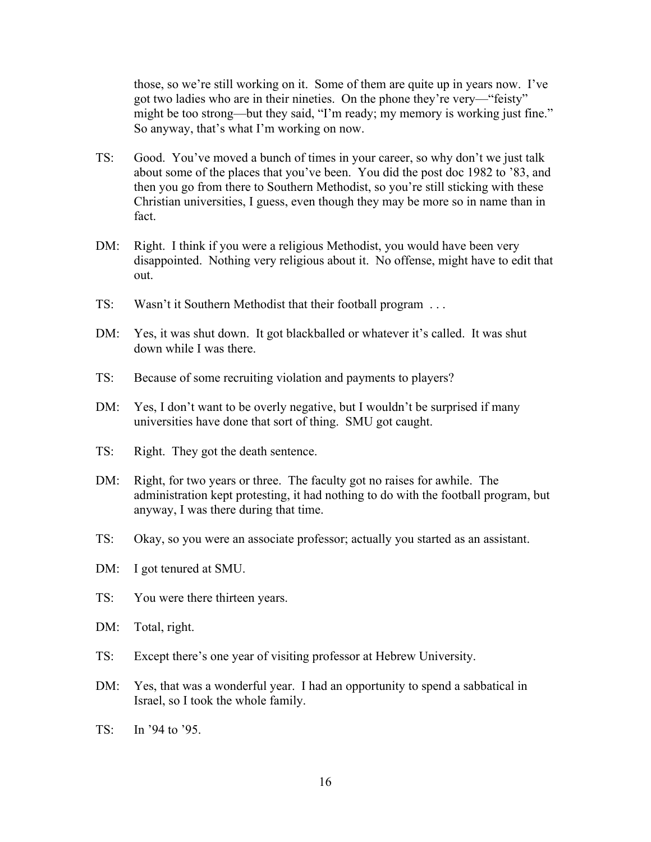those, so we're still working on it. Some of them are quite up in years now. I've got two ladies who are in their nineties. On the phone they're very—"feisty" might be too strong—but they said, "I'm ready; my memory is working just fine." So anyway, that's what I'm working on now.

- TS: Good. You've moved a bunch of times in your career, so why don't we just talk about some of the places that you've been. You did the post doc 1982 to '83, and then you go from there to Southern Methodist, so you're still sticking with these Christian universities, I guess, even though they may be more so in name than in fact.
- DM: Right. I think if you were a religious Methodist, you would have been very disappointed. Nothing very religious about it. No offense, might have to edit that out.
- TS: Wasn't it Southern Methodist that their football program . . .
- DM: Yes, it was shut down. It got blackballed or whatever it's called. It was shut down while I was there.
- TS: Because of some recruiting violation and payments to players?
- DM: Yes, I don't want to be overly negative, but I wouldn't be surprised if many universities have done that sort of thing. SMU got caught.
- TS: Right. They got the death sentence.
- DM: Right, for two years or three. The faculty got no raises for awhile. The administration kept protesting, it had nothing to do with the football program, but anyway, I was there during that time.
- TS: Okay, so you were an associate professor; actually you started as an assistant.
- DM: I got tenured at SMU.
- TS: You were there thirteen years.
- DM: Total, right.
- TS: Except there's one year of visiting professor at Hebrew University.
- DM: Yes, that was a wonderful year. I had an opportunity to spend a sabbatical in Israel, so I took the whole family.
- TS: In '94 to '95.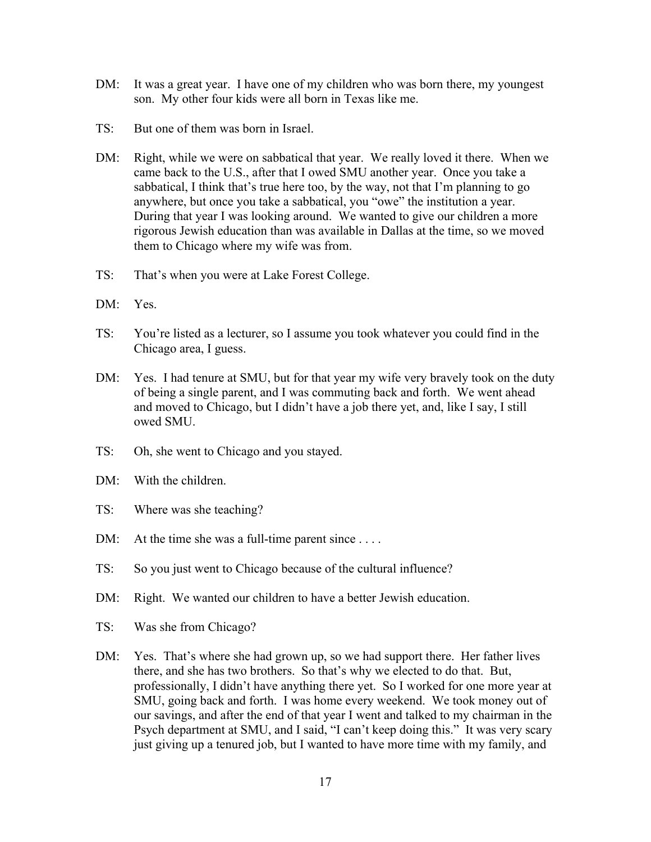- DM: It was a great year. I have one of my children who was born there, my youngest son. My other four kids were all born in Texas like me.
- TS: But one of them was born in Israel.
- DM: Right, while we were on sabbatical that year. We really loved it there. When we came back to the U.S., after that I owed SMU another year. Once you take a sabbatical, I think that's true here too, by the way, not that I'm planning to go anywhere, but once you take a sabbatical, you "owe" the institution a year. During that year I was looking around. We wanted to give our children a more rigorous Jewish education than was available in Dallas at the time, so we moved them to Chicago where my wife was from.
- TS: That's when you were at Lake Forest College.
- DM: Yes.
- TS: You're listed as a lecturer, so I assume you took whatever you could find in the Chicago area, I guess.
- DM: Yes. I had tenure at SMU, but for that year my wife very bravely took on the duty of being a single parent, and I was commuting back and forth. We went ahead and moved to Chicago, but I didn't have a job there yet, and, like I say, I still owed SMU.
- TS: Oh, she went to Chicago and you stayed.
- DM: With the children.
- TS: Where was she teaching?
- DM: At the time she was a full-time parent since ....
- TS: So you just went to Chicago because of the cultural influence?
- DM: Right. We wanted our children to have a better Jewish education.
- TS: Was she from Chicago?
- DM: Yes. That's where she had grown up, so we had support there. Her father lives there, and she has two brothers. So that's why we elected to do that. But, professionally, I didn't have anything there yet. So I worked for one more year at SMU, going back and forth. I was home every weekend. We took money out of our savings, and after the end of that year I went and talked to my chairman in the Psych department at SMU, and I said, "I can't keep doing this." It was very scary just giving up a tenured job, but I wanted to have more time with my family, and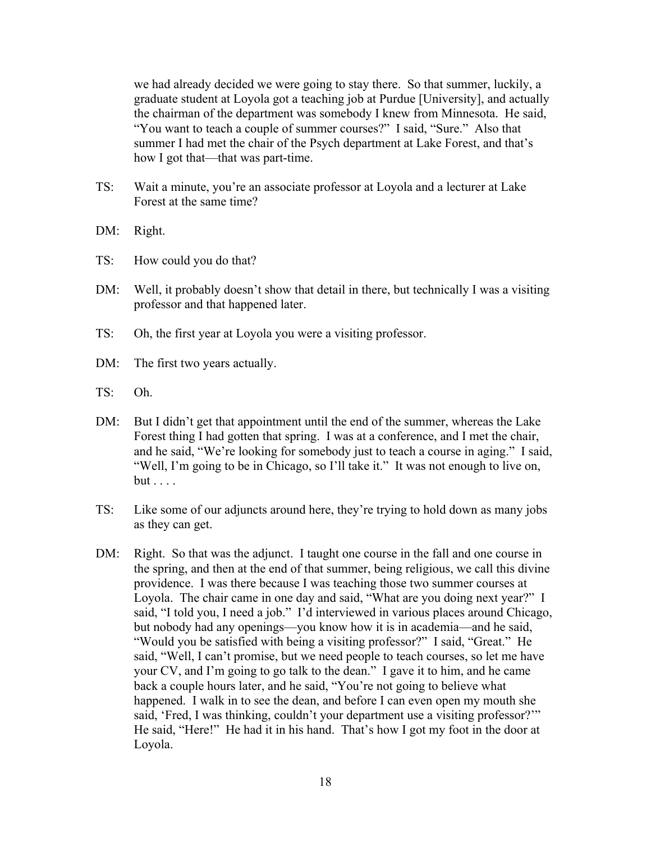we had already decided we were going to stay there. So that summer, luckily, a graduate student at Loyola got a teaching job at Purdue [University], and actually the chairman of the department was somebody I knew from Minnesota. He said, "You want to teach a couple of summer courses?" I said, "Sure." Also that summer I had met the chair of the Psych department at Lake Forest, and that's how I got that—that was part-time.

- TS: Wait a minute, you're an associate professor at Loyola and a lecturer at Lake Forest at the same time?
- DM: Right.
- TS: How could you do that?
- DM: Well, it probably doesn't show that detail in there, but technically I was a visiting professor and that happened later.
- TS: Oh, the first year at Loyola you were a visiting professor.
- DM: The first two years actually.
- TS: Oh.
- DM: But I didn't get that appointment until the end of the summer, whereas the Lake Forest thing I had gotten that spring. I was at a conference, and I met the chair, and he said, "We're looking for somebody just to teach a course in aging." I said, "Well, I'm going to be in Chicago, so I'll take it." It was not enough to live on, but . . . .
- TS: Like some of our adjuncts around here, they're trying to hold down as many jobs as they can get.
- DM: Right. So that was the adjunct. I taught one course in the fall and one course in the spring, and then at the end of that summer, being religious, we call this divine providence. I was there because I was teaching those two summer courses at Loyola. The chair came in one day and said, "What are you doing next year?" I said, "I told you, I need a job." I'd interviewed in various places around Chicago, but nobody had any openings—you know how it is in academia—and he said, "Would you be satisfied with being a visiting professor?" I said, "Great." He said, "Well, I can't promise, but we need people to teach courses, so let me have your CV, and I'm going to go talk to the dean." I gave it to him, and he came back a couple hours later, and he said, "You're not going to believe what happened. I walk in to see the dean, and before I can even open my mouth she said, 'Fred, I was thinking, couldn't your department use a visiting professor?'" He said, "Here!" He had it in his hand. That's how I got my foot in the door at Loyola.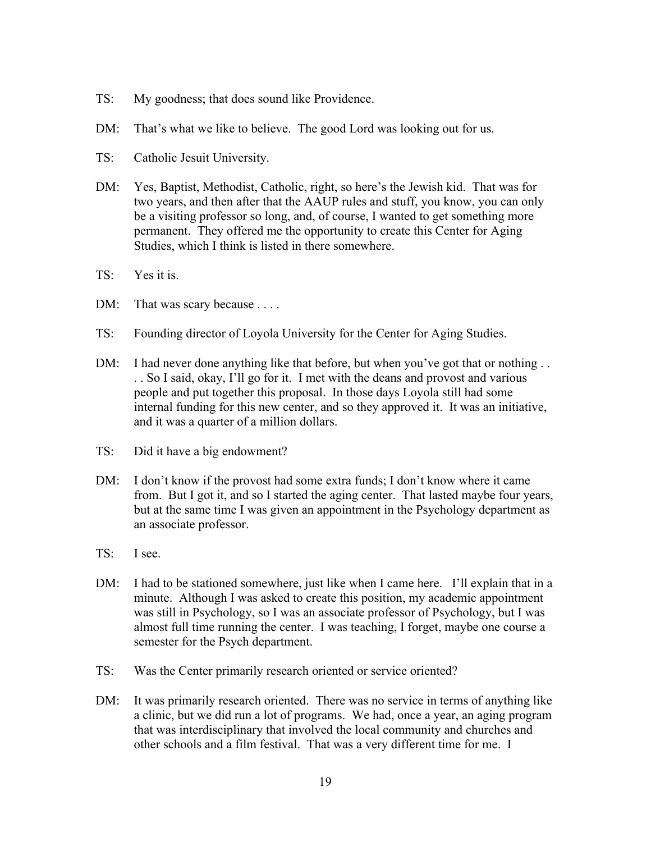- TS: My goodness; that does sound like Providence.
- DM: That's what we like to believe. The good Lord was looking out for us.
- TS: Catholic Jesuit University.
- DM: Yes, Baptist, Methodist, Catholic, right, so here's the Jewish kid. That was for two years, and then after that the AAUP rules and stuff, you know, you can only be a visiting professor so long, and, of course, I wanted to get something more permanent. They offered me the opportunity to create this Center for Aging Studies, which I think is listed in there somewhere.
- TS: Yes it is.
- DM: That was scary because . . . .
- TS: Founding director of Loyola University for the Center for Aging Studies.
- DM: I had never done anything like that before, but when you've got that or nothing ... . . So I said, okay, I'll go for it. I met with the deans and provost and various people and put together this proposal. In those days Loyola still had some internal funding for this new center, and so they approved it. It was an initiative, and it was a quarter of a million dollars.
- TS: Did it have a big endowment?
- DM: I don't know if the provost had some extra funds; I don't know where it came from. But I got it, and so I started the aging center. That lasted maybe four years, but at the same time I was given an appointment in the Psychology department as an associate professor.
- TS: I see.
- DM: I had to be stationed somewhere, just like when I came here. I'll explain that in a minute. Although I was asked to create this position, my academic appointment was still in Psychology, so I was an associate professor of Psychology, but I was almost full time running the center. I was teaching, I forget, maybe one course a semester for the Psych department.
- TS: Was the Center primarily research oriented or service oriented?
- DM: It was primarily research oriented. There was no service in terms of anything like a clinic, but we did run a lot of programs. We had, once a year, an aging program that was interdisciplinary that involved the local community and churches and other schools and a film festival. That was a very different time for me. I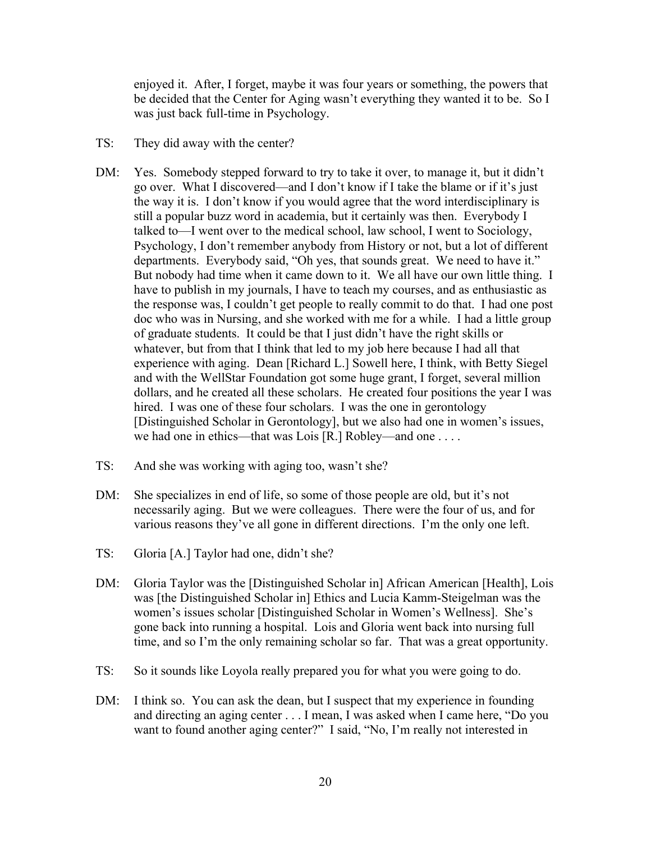enjoyed it. After, I forget, maybe it was four years or something, the powers that be decided that the Center for Aging wasn't everything they wanted it to be. So I was just back full-time in Psychology.

- TS: They did away with the center?
- DM: Yes. Somebody stepped forward to try to take it over, to manage it, but it didn't go over. What I discovered—and I don't know if I take the blame or if it's just the way it is. I don't know if you would agree that the word interdisciplinary is still a popular buzz word in academia, but it certainly was then. Everybody I talked to—I went over to the medical school, law school, I went to Sociology, Psychology, I don't remember anybody from History or not, but a lot of different departments. Everybody said, "Oh yes, that sounds great. We need to have it." But nobody had time when it came down to it. We all have our own little thing. I have to publish in my journals, I have to teach my courses, and as enthusiastic as the response was, I couldn't get people to really commit to do that. I had one post doc who was in Nursing, and she worked with me for a while. I had a little group of graduate students. It could be that I just didn't have the right skills or whatever, but from that I think that led to my job here because I had all that experience with aging. Dean [Richard L.] Sowell here, I think, with Betty Siegel and with the WellStar Foundation got some huge grant, I forget, several million dollars, and he created all these scholars. He created four positions the year I was hired. I was one of these four scholars. I was the one in gerontology [Distinguished Scholar in Gerontology], but we also had one in women's issues, we had one in ethics—that was Lois [R.] Robley—and one . . . .
- TS: And she was working with aging too, wasn't she?
- DM: She specializes in end of life, so some of those people are old, but it's not necessarily aging. But we were colleagues. There were the four of us, and for various reasons they've all gone in different directions. I'm the only one left.
- TS: Gloria [A.] Taylor had one, didn't she?
- DM: Gloria Taylor was the [Distinguished Scholar in] African American [Health], Lois was [the Distinguished Scholar in] Ethics and Lucia Kamm-Steigelman was the women's issues scholar [Distinguished Scholar in Women's Wellness]. She's gone back into running a hospital. Lois and Gloria went back into nursing full time, and so I'm the only remaining scholar so far. That was a great opportunity.
- TS: So it sounds like Loyola really prepared you for what you were going to do.
- DM: I think so. You can ask the dean, but I suspect that my experience in founding and directing an aging center . . . I mean, I was asked when I came here, "Do you want to found another aging center?" I said, "No, I'm really not interested in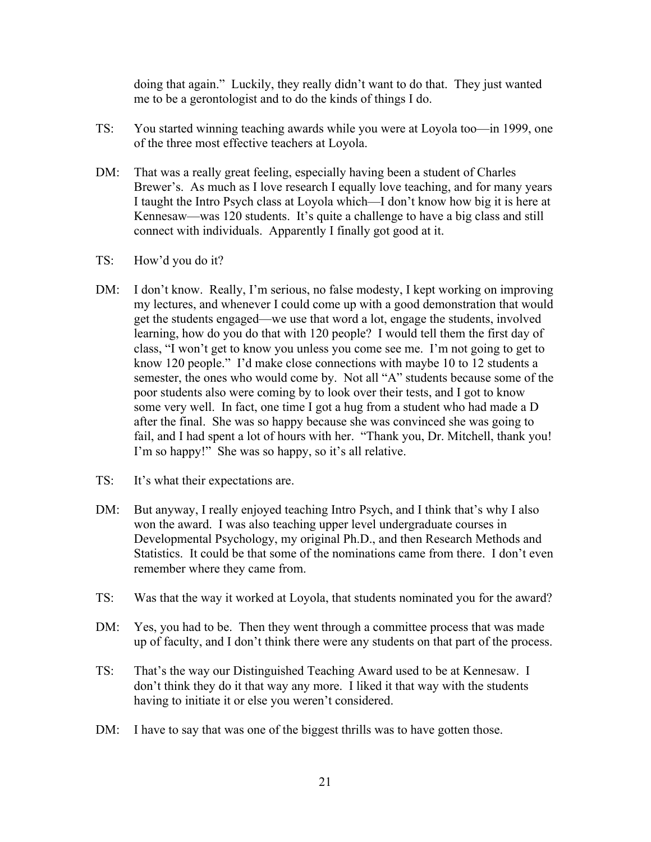doing that again." Luckily, they really didn't want to do that. They just wanted me to be a gerontologist and to do the kinds of things I do.

- TS: You started winning teaching awards while you were at Loyola too—in 1999, one of the three most effective teachers at Loyola.
- DM: That was a really great feeling, especially having been a student of Charles Brewer's. As much as I love research I equally love teaching, and for many years I taught the Intro Psych class at Loyola which—I don't know how big it is here at Kennesaw—was 120 students. It's quite a challenge to have a big class and still connect with individuals. Apparently I finally got good at it.
- TS: How'd you do it?
- DM: I don't know. Really, I'm serious, no false modesty, I kept working on improving my lectures, and whenever I could come up with a good demonstration that would get the students engaged—we use that word a lot, engage the students, involved learning, how do you do that with 120 people? I would tell them the first day of class, "I won't get to know you unless you come see me. I'm not going to get to know 120 people." I'd make close connections with maybe 10 to 12 students a semester, the ones who would come by. Not all "A" students because some of the poor students also were coming by to look over their tests, and I got to know some very well. In fact, one time I got a hug from a student who had made a D after the final. She was so happy because she was convinced she was going to fail, and I had spent a lot of hours with her. "Thank you, Dr. Mitchell, thank you! I'm so happy!" She was so happy, so it's all relative.
- TS: It's what their expectations are.
- DM: But anyway, I really enjoyed teaching Intro Psych, and I think that's why I also won the award. I was also teaching upper level undergraduate courses in Developmental Psychology, my original Ph.D., and then Research Methods and Statistics. It could be that some of the nominations came from there. I don't even remember where they came from.
- TS: Was that the way it worked at Loyola, that students nominated you for the award?
- DM: Yes, you had to be. Then they went through a committee process that was made up of faculty, and I don't think there were any students on that part of the process.
- TS: That's the way our Distinguished Teaching Award used to be at Kennesaw. I don't think they do it that way any more. I liked it that way with the students having to initiate it or else you weren't considered.
- DM: I have to say that was one of the biggest thrills was to have gotten those.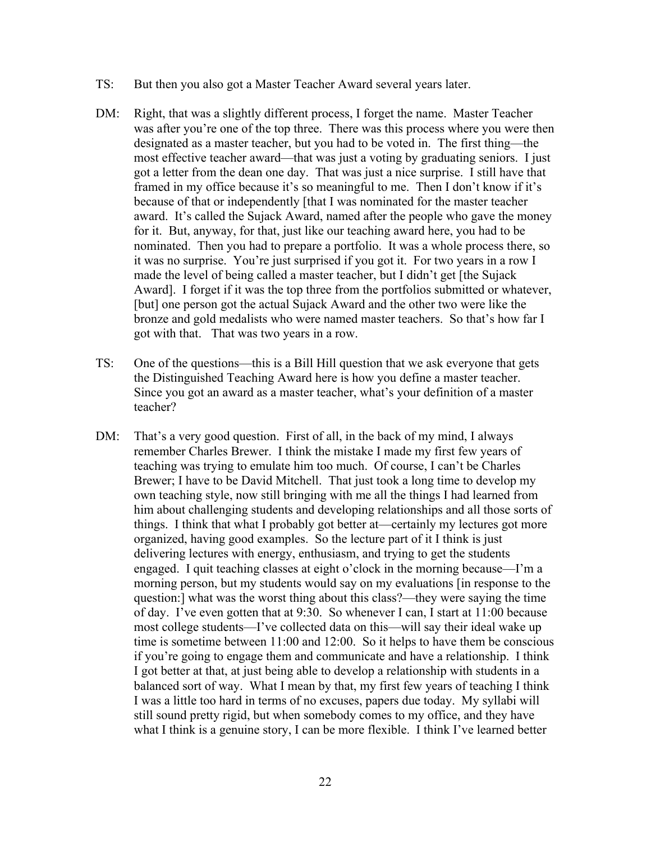- TS: But then you also got a Master Teacher Award several years later.
- DM: Right, that was a slightly different process, I forget the name. Master Teacher was after you're one of the top three. There was this process where you were then designated as a master teacher, but you had to be voted in. The first thing—the most effective teacher award—that was just a voting by graduating seniors. I just got a letter from the dean one day. That was just a nice surprise. I still have that framed in my office because it's so meaningful to me. Then I don't know if it's because of that or independently [that I was nominated for the master teacher award. It's called the Sujack Award, named after the people who gave the money for it. But, anyway, for that, just like our teaching award here, you had to be nominated. Then you had to prepare a portfolio. It was a whole process there, so it was no surprise. You're just surprised if you got it. For two years in a row I made the level of being called a master teacher, but I didn't get [the Sujack Award]. I forget if it was the top three from the portfolios submitted or whatever, [but] one person got the actual Sujack Award and the other two were like the bronze and gold medalists who were named master teachers. So that's how far I got with that. That was two years in a row.
- TS: One of the questions—this is a Bill Hill question that we ask everyone that gets the Distinguished Teaching Award here is how you define a master teacher. Since you got an award as a master teacher, what's your definition of a master teacher?
- DM: That's a very good question. First of all, in the back of my mind, I always remember Charles Brewer. I think the mistake I made my first few years of teaching was trying to emulate him too much. Of course, I can't be Charles Brewer; I have to be David Mitchell. That just took a long time to develop my own teaching style, now still bringing with me all the things I had learned from him about challenging students and developing relationships and all those sorts of things. I think that what I probably got better at—certainly my lectures got more organized, having good examples. So the lecture part of it I think is just delivering lectures with energy, enthusiasm, and trying to get the students engaged. I quit teaching classes at eight o'clock in the morning because—I'm a morning person, but my students would say on my evaluations [in response to the question:] what was the worst thing about this class?—they were saying the time of day. I've even gotten that at 9:30. So whenever I can, I start at 11:00 because most college students—I've collected data on this—will say their ideal wake up time is sometime between 11:00 and 12:00. So it helps to have them be conscious if you're going to engage them and communicate and have a relationship. I think I got better at that, at just being able to develop a relationship with students in a balanced sort of way. What I mean by that, my first few years of teaching I think I was a little too hard in terms of no excuses, papers due today. My syllabi will still sound pretty rigid, but when somebody comes to my office, and they have what I think is a genuine story, I can be more flexible. I think I've learned better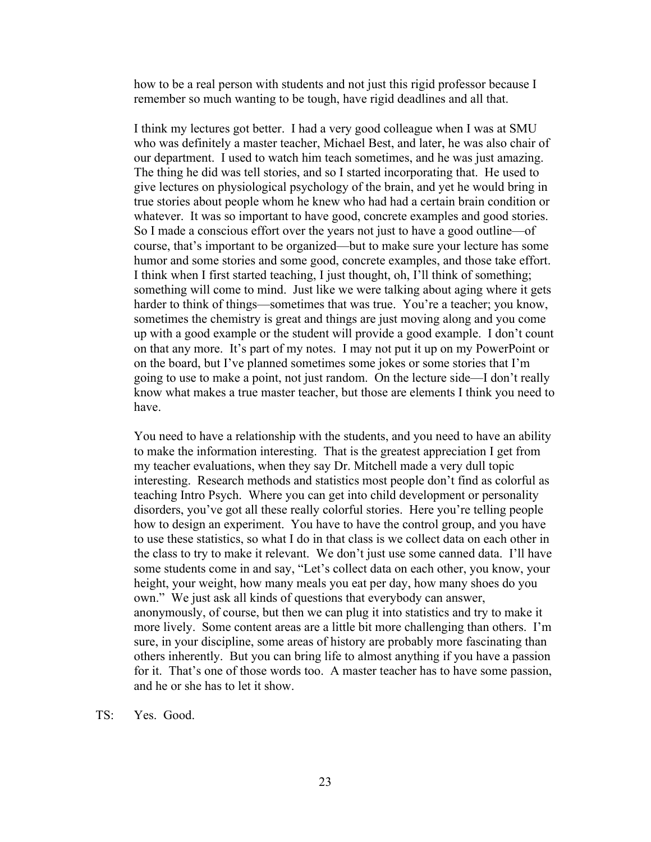how to be a real person with students and not just this rigid professor because I remember so much wanting to be tough, have rigid deadlines and all that.

I think my lectures got better. I had a very good colleague when I was at SMU who was definitely a master teacher, Michael Best, and later, he was also chair of our department. I used to watch him teach sometimes, and he was just amazing. The thing he did was tell stories, and so I started incorporating that. He used to give lectures on physiological psychology of the brain, and yet he would bring in true stories about people whom he knew who had had a certain brain condition or whatever. It was so important to have good, concrete examples and good stories. So I made a conscious effort over the years not just to have a good outline—of course, that's important to be organized—but to make sure your lecture has some humor and some stories and some good, concrete examples, and those take effort. I think when I first started teaching, I just thought, oh, I'll think of something; something will come to mind. Just like we were talking about aging where it gets harder to think of things—sometimes that was true. You're a teacher; you know, sometimes the chemistry is great and things are just moving along and you come up with a good example or the student will provide a good example. I don't count on that any more. It's part of my notes. I may not put it up on my PowerPoint or on the board, but I've planned sometimes some jokes or some stories that I'm going to use to make a point, not just random. On the lecture side—I don't really know what makes a true master teacher, but those are elements I think you need to have.

You need to have a relationship with the students, and you need to have an ability to make the information interesting. That is the greatest appreciation I get from my teacher evaluations, when they say Dr. Mitchell made a very dull topic interesting. Research methods and statistics most people don't find as colorful as teaching Intro Psych. Where you can get into child development or personality disorders, you've got all these really colorful stories. Here you're telling people how to design an experiment. You have to have the control group, and you have to use these statistics, so what I do in that class is we collect data on each other in the class to try to make it relevant. We don't just use some canned data. I'll have some students come in and say, "Let's collect data on each other, you know, your height, your weight, how many meals you eat per day, how many shoes do you own." We just ask all kinds of questions that everybody can answer, anonymously, of course, but then we can plug it into statistics and try to make it more lively. Some content areas are a little bit more challenging than others. I'm sure, in your discipline, some areas of history are probably more fascinating than others inherently. But you can bring life to almost anything if you have a passion for it. That's one of those words too. A master teacher has to have some passion, and he or she has to let it show.

TS: Yes. Good.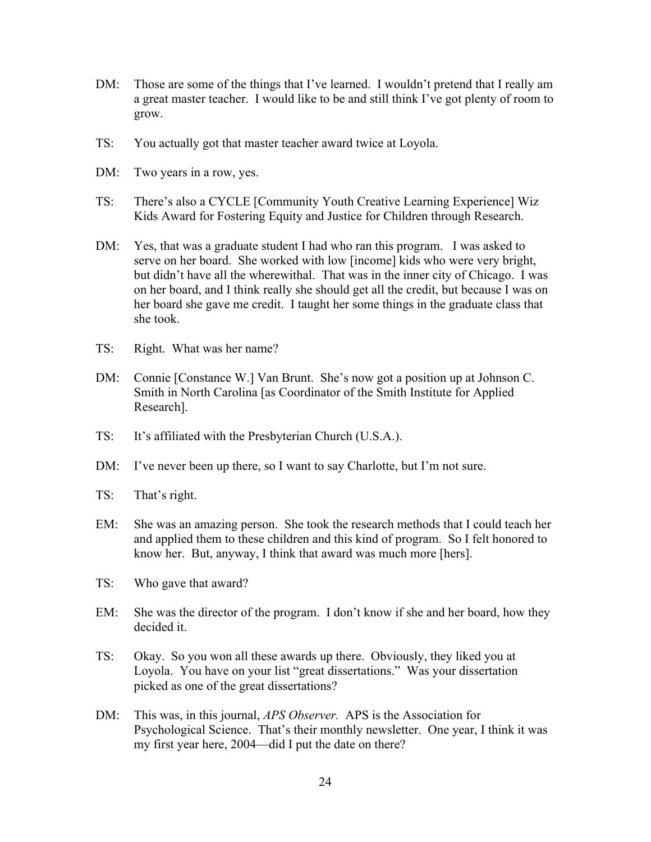- DM: Those are some of the things that I've learned. I wouldn't pretend that I really am a great master teacher. I would like to be and still think I've got plenty of room to grow.
- TS: You actually got that master teacher award twice at Loyola.
- DM: Two years in a row, yes.
- TS: There's also a CYCLE [Community Youth Creative Learning Experience] Wiz Kids Award for Fostering Equity and Justice for Children through Research.
- DM: Yes, that was a graduate student I had who ran this program. I was asked to serve on her board. She worked with low [income] kids who were very bright, but didn't have all the wherewithal. That was in the inner city of Chicago. I was on her board, and I think really she should get all the credit, but because I was on her board she gave me credit. I taught her some things in the graduate class that she took.
- TS: Right. What was her name?
- DM: Connie [Constance W.] Van Brunt. She's now got a position up at Johnson C. Smith in North Carolina [as Coordinator of the Smith Institute for Applied Research].
- TS: It's affiliated with the Presbyterian Church (U.S.A.).
- DM: I've never been up there, so I want to say Charlotte, but I'm not sure.
- TS: That's right.
- EM: She was an amazing person. She took the research methods that I could teach her and applied them to these children and this kind of program. So I felt honored to know her. But, anyway, I think that award was much more [hers].
- TS: Who gave that award?
- EM: She was the director of the program. I don't know if she and her board, how they decided it.
- TS: Okay. So you won all these awards up there. Obviously, they liked you at Loyola. You have on your list "great dissertations." Was your dissertation picked as one of the great dissertations?
- DM: This was, in this journal, *APS Observer.* APS is the Association for Psychological Science. That's their monthly newsletter. One year, I think it was my first year here, 2004—did I put the date on there?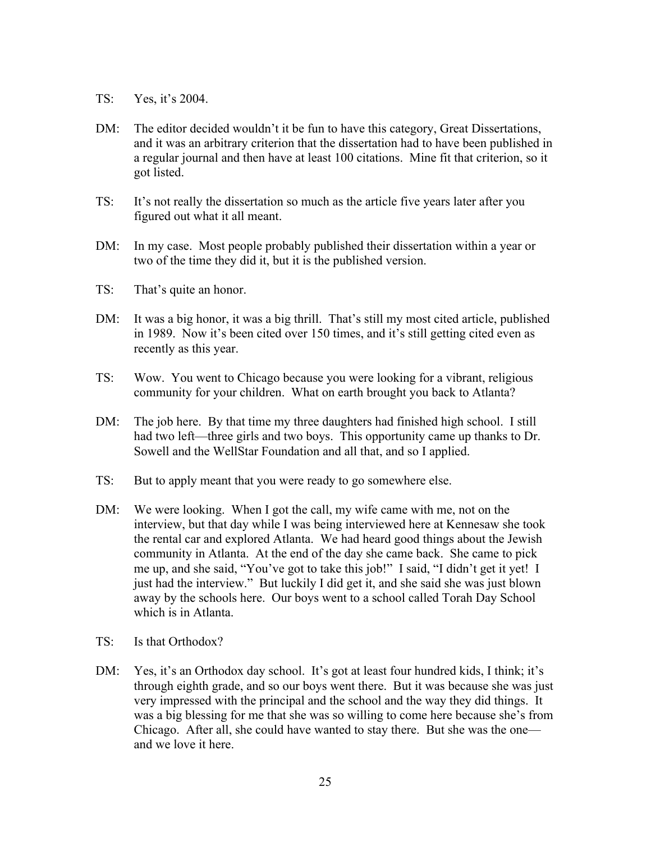- TS: Yes, it's 2004.
- DM: The editor decided wouldn't it be fun to have this category, Great Dissertations, and it was an arbitrary criterion that the dissertation had to have been published in a regular journal and then have at least 100 citations. Mine fit that criterion, so it got listed.
- TS: It's not really the dissertation so much as the article five years later after you figured out what it all meant.
- DM: In my case. Most people probably published their dissertation within a year or two of the time they did it, but it is the published version.
- TS: That's quite an honor.
- DM: It was a big honor, it was a big thrill. That's still my most cited article, published in 1989. Now it's been cited over 150 times, and it's still getting cited even as recently as this year.
- TS: Wow. You went to Chicago because you were looking for a vibrant, religious community for your children. What on earth brought you back to Atlanta?
- DM: The job here. By that time my three daughters had finished high school. I still had two left—three girls and two boys. This opportunity came up thanks to Dr. Sowell and the WellStar Foundation and all that, and so I applied.
- TS: But to apply meant that you were ready to go somewhere else.
- DM: We were looking. When I got the call, my wife came with me, not on the interview, but that day while I was being interviewed here at Kennesaw she took the rental car and explored Atlanta. We had heard good things about the Jewish community in Atlanta. At the end of the day she came back. She came to pick me up, and she said, "You've got to take this job!" I said, "I didn't get it yet! I just had the interview." But luckily I did get it, and she said she was just blown away by the schools here. Our boys went to a school called Torah Day School which is in Atlanta.
- TS: Is that Orthodox?
- DM: Yes, it's an Orthodox day school. It's got at least four hundred kids, I think; it's through eighth grade, and so our boys went there. But it was because she was just very impressed with the principal and the school and the way they did things. It was a big blessing for me that she was so willing to come here because she's from Chicago. After all, she could have wanted to stay there. But she was the one and we love it here.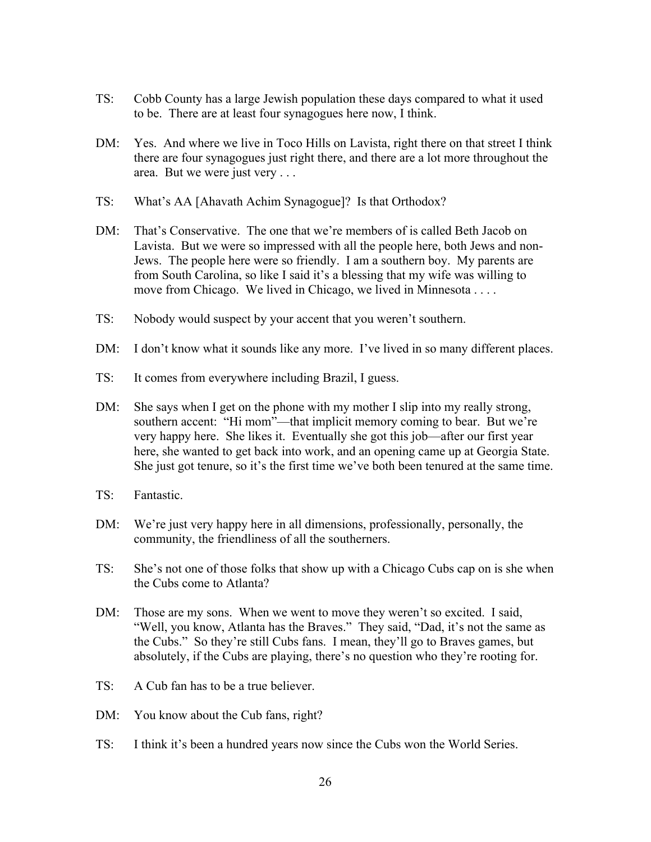- TS: Cobb County has a large Jewish population these days compared to what it used to be. There are at least four synagogues here now, I think.
- DM: Yes. And where we live in Toco Hills on Lavista, right there on that street I think there are four synagogues just right there, and there are a lot more throughout the area. But we were just very . . .
- TS: What's AA [Ahavath Achim Synagogue]? Is that Orthodox?
- DM: That's Conservative. The one that we're members of is called Beth Jacob on Lavista. But we were so impressed with all the people here, both Jews and non-Jews. The people here were so friendly. I am a southern boy. My parents are from South Carolina, so like I said it's a blessing that my wife was willing to move from Chicago. We lived in Chicago, we lived in Minnesota . . . .
- TS: Nobody would suspect by your accent that you weren't southern.
- DM: I don't know what it sounds like any more. I've lived in so many different places.
- TS: It comes from everywhere including Brazil, I guess.
- DM: She says when I get on the phone with my mother I slip into my really strong, southern accent: "Hi mom"—that implicit memory coming to bear. But we're very happy here. She likes it. Eventually she got this job—after our first year here, she wanted to get back into work, and an opening came up at Georgia State. She just got tenure, so it's the first time we've both been tenured at the same time.
- TS: Fantastic.
- DM: We're just very happy here in all dimensions, professionally, personally, the community, the friendliness of all the southerners.
- TS: She's not one of those folks that show up with a Chicago Cubs cap on is she when the Cubs come to Atlanta?
- DM: Those are my sons. When we went to move they weren't so excited. I said, "Well, you know, Atlanta has the Braves." They said, "Dad, it's not the same as the Cubs." So they're still Cubs fans. I mean, they'll go to Braves games, but absolutely, if the Cubs are playing, there's no question who they're rooting for.
- TS: A Cub fan has to be a true believer.
- DM: You know about the Cub fans, right?
- TS: I think it's been a hundred years now since the Cubs won the World Series.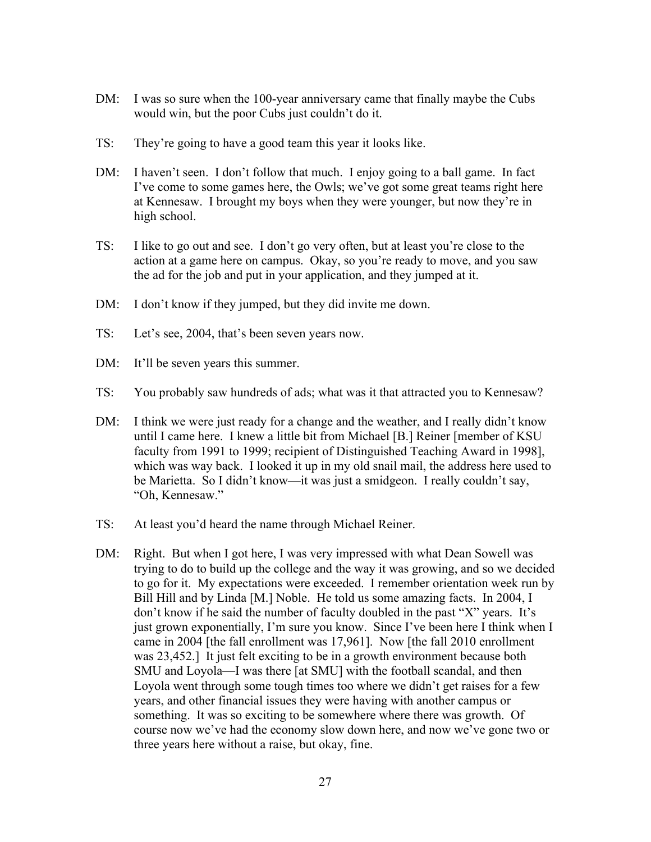- DM: I was so sure when the 100-year anniversary came that finally maybe the Cubs would win, but the poor Cubs just couldn't do it.
- TS: They're going to have a good team this year it looks like.
- DM: I haven't seen. I don't follow that much. I enjoy going to a ball game. In fact I've come to some games here, the Owls; we've got some great teams right here at Kennesaw. I brought my boys when they were younger, but now they're in high school.
- TS: I like to go out and see. I don't go very often, but at least you're close to the action at a game here on campus. Okay, so you're ready to move, and you saw the ad for the job and put in your application, and they jumped at it.
- DM: I don't know if they jumped, but they did invite me down.
- TS: Let's see, 2004, that's been seven years now.
- DM: It'll be seven years this summer.
- TS: You probably saw hundreds of ads; what was it that attracted you to Kennesaw?
- DM: I think we were just ready for a change and the weather, and I really didn't know until I came here. I knew a little bit from Michael [B.] Reiner [member of KSU faculty from 1991 to 1999; recipient of Distinguished Teaching Award in 1998], which was way back. I looked it up in my old snail mail, the address here used to be Marietta. So I didn't know—it was just a smidgeon. I really couldn't say, "Oh, Kennesaw."
- TS: At least you'd heard the name through Michael Reiner.
- DM: Right. But when I got here, I was very impressed with what Dean Sowell was trying to do to build up the college and the way it was growing, and so we decided to go for it. My expectations were exceeded. I remember orientation week run by Bill Hill and by Linda [M.] Noble. He told us some amazing facts. In 2004, I don't know if he said the number of faculty doubled in the past "X" years. It's just grown exponentially, I'm sure you know. Since I've been here I think when I came in 2004 [the fall enrollment was 17,961]. Now [the fall 2010 enrollment was 23,452.] It just felt exciting to be in a growth environment because both SMU and Loyola—I was there [at SMU] with the football scandal, and then Loyola went through some tough times too where we didn't get raises for a few years, and other financial issues they were having with another campus or something. It was so exciting to be somewhere where there was growth. Of course now we've had the economy slow down here, and now we've gone two or three years here without a raise, but okay, fine.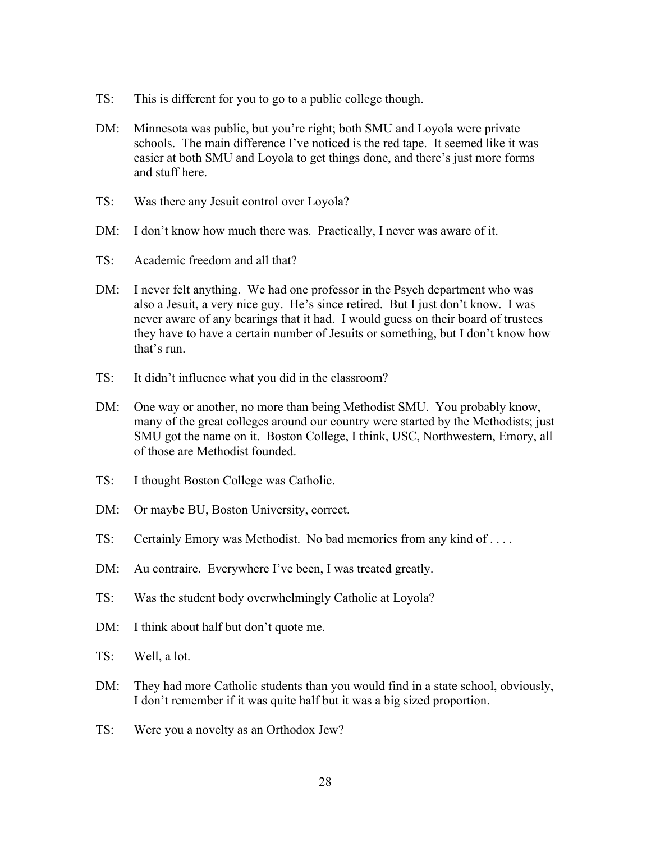- TS: This is different for you to go to a public college though.
- DM: Minnesota was public, but you're right; both SMU and Loyola were private schools. The main difference I've noticed is the red tape. It seemed like it was easier at both SMU and Loyola to get things done, and there's just more forms and stuff here.
- TS: Was there any Jesuit control over Loyola?
- DM: I don't know how much there was. Practically, I never was aware of it.
- TS: Academic freedom and all that?
- DM: I never felt anything. We had one professor in the Psych department who was also a Jesuit, a very nice guy. He's since retired. But I just don't know. I was never aware of any bearings that it had. I would guess on their board of trustees they have to have a certain number of Jesuits or something, but I don't know how that's run.
- TS: It didn't influence what you did in the classroom?
- DM: One way or another, no more than being Methodist SMU. You probably know, many of the great colleges around our country were started by the Methodists; just SMU got the name on it. Boston College, I think, USC, Northwestern, Emory, all of those are Methodist founded.
- TS: I thought Boston College was Catholic.
- DM: Or maybe BU, Boston University, correct.
- TS: Certainly Emory was Methodist. No bad memories from any kind of . . . .
- DM: Au contraire. Everywhere I've been, I was treated greatly.
- TS: Was the student body overwhelmingly Catholic at Loyola?
- DM: I think about half but don't quote me.
- TS: Well, a lot.
- DM: They had more Catholic students than you would find in a state school, obviously, I don't remember if it was quite half but it was a big sized proportion.
- TS: Were you a novelty as an Orthodox Jew?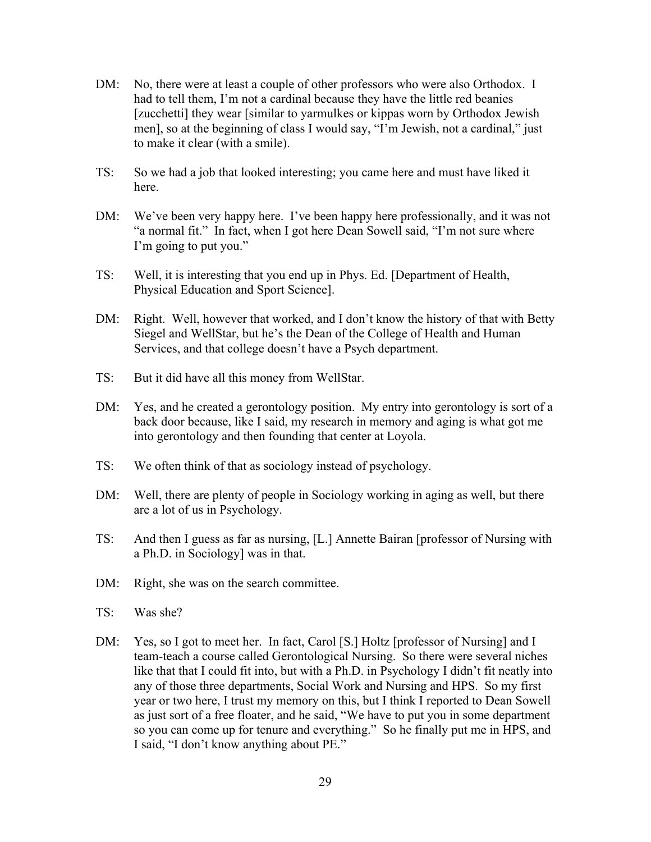- DM: No, there were at least a couple of other professors who were also Orthodox. I had to tell them, I'm not a cardinal because they have the little red beanies [zucchetti] they wear [similar to yarmulkes or kippas worn by Orthodox Jewish men], so at the beginning of class I would say, "I'm Jewish, not a cardinal," just to make it clear (with a smile).
- TS: So we had a job that looked interesting; you came here and must have liked it here.
- DM: We've been very happy here. I've been happy here professionally, and it was not "a normal fit." In fact, when I got here Dean Sowell said, "I'm not sure where I'm going to put you."
- TS: Well, it is interesting that you end up in Phys. Ed. [Department of Health, Physical Education and Sport Science].
- DM: Right. Well, however that worked, and I don't know the history of that with Betty Siegel and WellStar, but he's the Dean of the College of Health and Human Services, and that college doesn't have a Psych department.
- TS: But it did have all this money from WellStar.
- DM: Yes, and he created a gerontology position. My entry into gerontology is sort of a back door because, like I said, my research in memory and aging is what got me into gerontology and then founding that center at Loyola.
- TS: We often think of that as sociology instead of psychology.
- DM: Well, there are plenty of people in Sociology working in aging as well, but there are a lot of us in Psychology.
- TS: And then I guess as far as nursing, [L.] Annette Bairan [professor of Nursing with a Ph.D. in Sociology] was in that.
- DM: Right, she was on the search committee.
- TS: Was she?
- DM: Yes, so I got to meet her. In fact, Carol [S.] Holtz [professor of Nursing] and I team-teach a course called Gerontological Nursing. So there were several niches like that that I could fit into, but with a Ph.D. in Psychology I didn't fit neatly into any of those three departments, Social Work and Nursing and HPS. So my first year or two here, I trust my memory on this, but I think I reported to Dean Sowell as just sort of a free floater, and he said, "We have to put you in some department so you can come up for tenure and everything." So he finally put me in HPS, and I said, "I don't know anything about PE."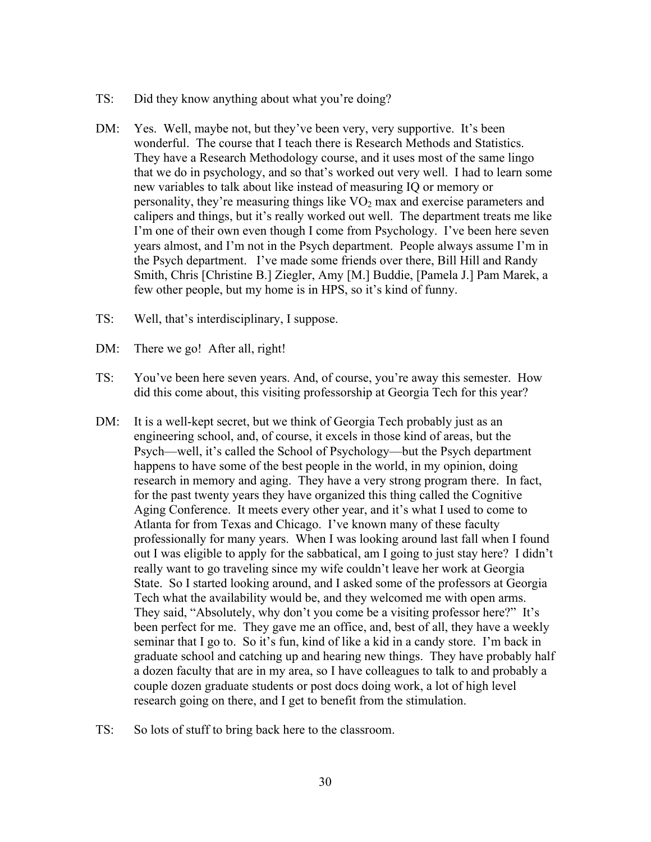- TS: Did they know anything about what you're doing?
- DM: Yes. Well, maybe not, but they've been very, very supportive. It's been wonderful. The course that I teach there is Research Methods and Statistics. They have a Research Methodology course, and it uses most of the same lingo that we do in psychology, and so that's worked out very well. I had to learn some new variables to talk about like instead of measuring IQ or memory or personality, they're measuring things like  $VO<sub>2</sub>$  max and exercise parameters and calipers and things, but it's really worked out well. The department treats me like I'm one of their own even though I come from Psychology. I've been here seven years almost, and I'm not in the Psych department. People always assume I'm in the Psych department. I've made some friends over there, Bill Hill and Randy Smith, Chris [Christine B.] Ziegler, Amy [M.] Buddie, [Pamela J.] Pam Marek, a few other people, but my home is in HPS, so it's kind of funny.
- TS: Well, that's interdisciplinary, I suppose.
- DM: There we go! After all, right!
- TS: You've been here seven years. And, of course, you're away this semester. How did this come about, this visiting professorship at Georgia Tech for this year?
- DM: It is a well-kept secret, but we think of Georgia Tech probably just as an engineering school, and, of course, it excels in those kind of areas, but the Psych—well, it's called the School of Psychology—but the Psych department happens to have some of the best people in the world, in my opinion, doing research in memory and aging. They have a very strong program there. In fact, for the past twenty years they have organized this thing called the Cognitive Aging Conference. It meets every other year, and it's what I used to come to Atlanta for from Texas and Chicago. I've known many of these faculty professionally for many years. When I was looking around last fall when I found out I was eligible to apply for the sabbatical, am I going to just stay here? I didn't really want to go traveling since my wife couldn't leave her work at Georgia State. So I started looking around, and I asked some of the professors at Georgia Tech what the availability would be, and they welcomed me with open arms. They said, "Absolutely, why don't you come be a visiting professor here?" It's been perfect for me. They gave me an office, and, best of all, they have a weekly seminar that I go to. So it's fun, kind of like a kid in a candy store. I'm back in graduate school and catching up and hearing new things. They have probably half a dozen faculty that are in my area, so I have colleagues to talk to and probably a couple dozen graduate students or post docs doing work, a lot of high level research going on there, and I get to benefit from the stimulation.
- TS: So lots of stuff to bring back here to the classroom.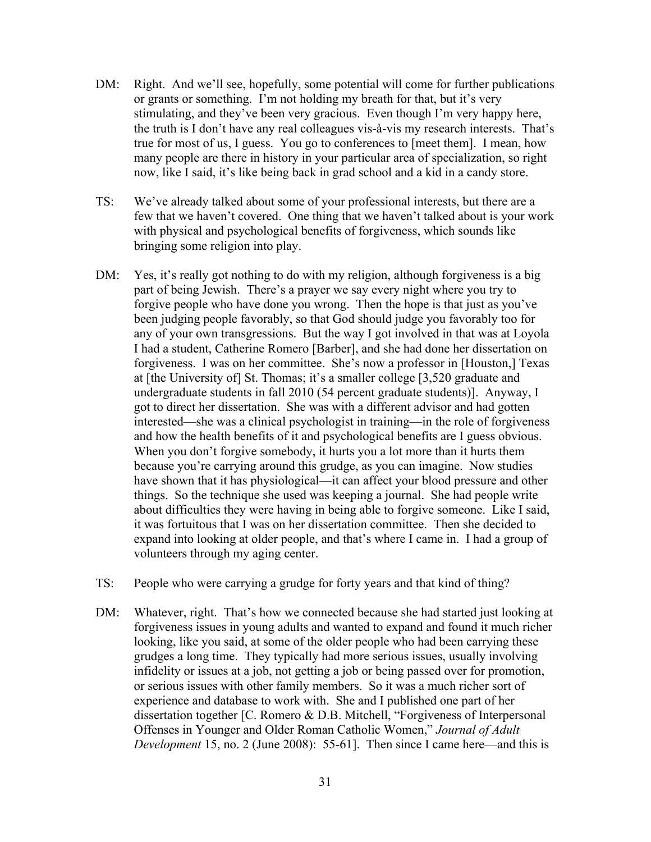- DM: Right. And we'll see, hopefully, some potential will come for further publications or grants or something. I'm not holding my breath for that, but it's very stimulating, and they've been very gracious. Even though I'm very happy here, the truth is I don't have any real colleagues vis-à-vis my research interests. That's true for most of us, I guess. You go to conferences to [meet them]. I mean, how many people are there in history in your particular area of specialization, so right now, like I said, it's like being back in grad school and a kid in a candy store.
- TS: We've already talked about some of your professional interests, but there are a few that we haven't covered. One thing that we haven't talked about is your work with physical and psychological benefits of forgiveness, which sounds like bringing some religion into play.
- DM: Yes, it's really got nothing to do with my religion, although forgiveness is a big part of being Jewish. There's a prayer we say every night where you try to forgive people who have done you wrong. Then the hope is that just as you've been judging people favorably, so that God should judge you favorably too for any of your own transgressions. But the way I got involved in that was at Loyola I had a student, Catherine Romero [Barber], and she had done her dissertation on forgiveness. I was on her committee. She's now a professor in [Houston,] Texas at [the University of] St. Thomas; it's a smaller college [3,520 graduate and undergraduate students in fall 2010 (54 percent graduate students)]. Anyway, I got to direct her dissertation. She was with a different advisor and had gotten interested—she was a clinical psychologist in training—in the role of forgiveness and how the health benefits of it and psychological benefits are I guess obvious. When you don't forgive somebody, it hurts you a lot more than it hurts them because you're carrying around this grudge, as you can imagine. Now studies have shown that it has physiological—it can affect your blood pressure and other things. So the technique she used was keeping a journal. She had people write about difficulties they were having in being able to forgive someone. Like I said, it was fortuitous that I was on her dissertation committee. Then she decided to expand into looking at older people, and that's where I came in. I had a group of volunteers through my aging center.
- TS: People who were carrying a grudge for forty years and that kind of thing?
- DM: Whatever, right. That's how we connected because she had started just looking at forgiveness issues in young adults and wanted to expand and found it much richer looking, like you said, at some of the older people who had been carrying these grudges a long time. They typically had more serious issues, usually involving infidelity or issues at a job, not getting a job or being passed over for promotion, or serious issues with other family members. So it was a much richer sort of experience and database to work with. She and I published one part of her dissertation together [C. Romero & D.B. Mitchell, "Forgiveness of Interpersonal Offenses in Younger and Older Roman Catholic Women," *Journal of Adult Development* 15, no. 2 (June 2008): 55-61]. Then since I came here—and this is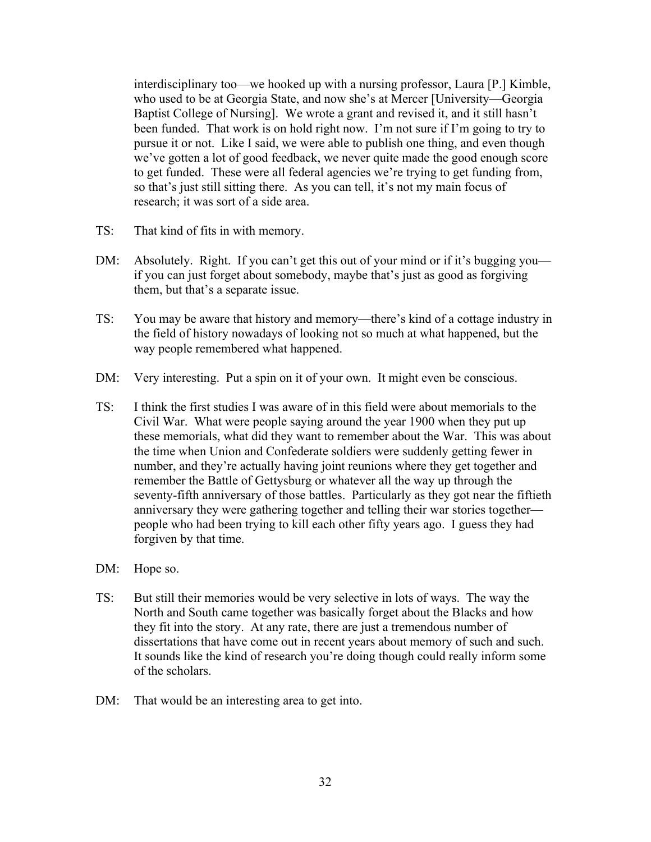interdisciplinary too—we hooked up with a nursing professor, Laura [P.] Kimble, who used to be at Georgia State, and now she's at Mercer [University—Georgia Baptist College of Nursing]. We wrote a grant and revised it, and it still hasn't been funded. That work is on hold right now. I'm not sure if I'm going to try to pursue it or not. Like I said, we were able to publish one thing, and even though we've gotten a lot of good feedback, we never quite made the good enough score to get funded. These were all federal agencies we're trying to get funding from, so that's just still sitting there. As you can tell, it's not my main focus of research; it was sort of a side area.

- TS: That kind of fits in with memory.
- DM: Absolutely. Right. If you can't get this out of your mind or if it's bugging you if you can just forget about somebody, maybe that's just as good as forgiving them, but that's a separate issue.
- TS: You may be aware that history and memory—there's kind of a cottage industry in the field of history nowadays of looking not so much at what happened, but the way people remembered what happened.
- DM: Very interesting. Put a spin on it of your own. It might even be conscious.
- TS: I think the first studies I was aware of in this field were about memorials to the Civil War. What were people saying around the year 1900 when they put up these memorials, what did they want to remember about the War. This was about the time when Union and Confederate soldiers were suddenly getting fewer in number, and they're actually having joint reunions where they get together and remember the Battle of Gettysburg or whatever all the way up through the seventy-fifth anniversary of those battles. Particularly as they got near the fiftieth anniversary they were gathering together and telling their war stories together people who had been trying to kill each other fifty years ago. I guess they had forgiven by that time.
- DM: Hope so.
- TS: But still their memories would be very selective in lots of ways. The way the North and South came together was basically forget about the Blacks and how they fit into the story. At any rate, there are just a tremendous number of dissertations that have come out in recent years about memory of such and such. It sounds like the kind of research you're doing though could really inform some of the scholars.
- DM: That would be an interesting area to get into.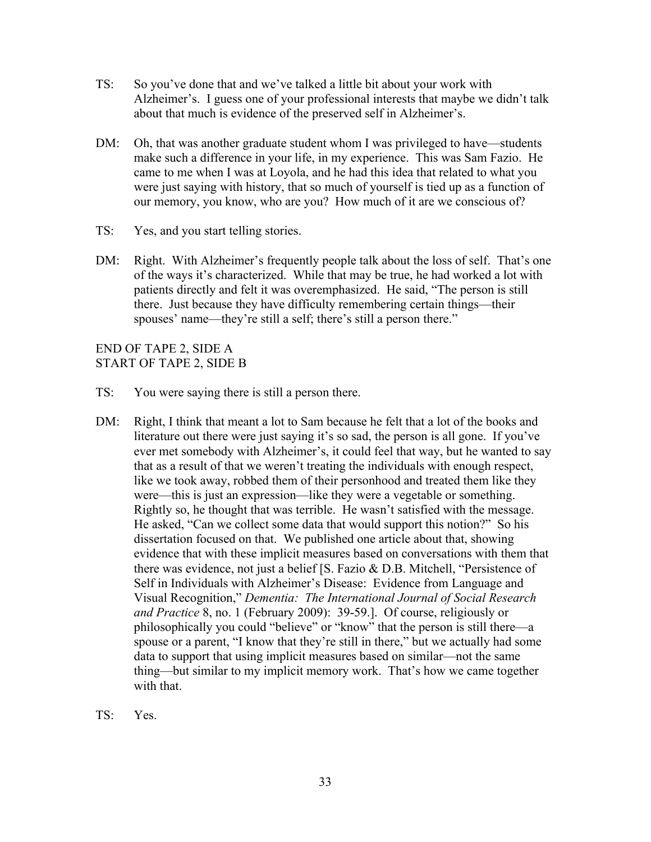- TS: So you've done that and we've talked a little bit about your work with Alzheimer's. I guess one of your professional interests that maybe we didn't talk about that much is evidence of the preserved self in Alzheimer's.
- DM: Oh, that was another graduate student whom I was privileged to have—students make such a difference in your life, in my experience. This was Sam Fazio. He came to me when I was at Loyola, and he had this idea that related to what you were just saying with history, that so much of yourself is tied up as a function of our memory, you know, who are you? How much of it are we conscious of?
- TS: Yes, and you start telling stories.
- DM: Right. With Alzheimer's frequently people talk about the loss of self. That's one of the ways it's characterized. While that may be true, he had worked a lot with patients directly and felt it was overemphasized. He said, "The person is still there. Just because they have difficulty remembering certain things—their spouses' name—they're still a self; there's still a person there."

END OF TAPE 2, SIDE A START OF TAPE 2, SIDE B

- TS: You were saying there is still a person there.
- DM: Right, I think that meant a lot to Sam because he felt that a lot of the books and literature out there were just saying it's so sad, the person is all gone. If you've ever met somebody with Alzheimer's, it could feel that way, but he wanted to say that as a result of that we weren't treating the individuals with enough respect, like we took away, robbed them of their personhood and treated them like they were—this is just an expression—like they were a vegetable or something. Rightly so, he thought that was terrible. He wasn't satisfied with the message. He asked, "Can we collect some data that would support this notion?" So his dissertation focused on that. We published one article about that, showing evidence that with these implicit measures based on conversations with them that there was evidence, not just a belief [S. Fazio & D.B. Mitchell, "Persistence of Self in Individuals with Alzheimer's Disease: Evidence from Language and Visual Recognition," *Dementia: The International Journal of Social Research and Practice* 8, no. 1 (February 2009): 39-59.]. Of course, religiously or philosophically you could "believe" or "know" that the person is still there—a spouse or a parent, "I know that they're still in there," but we actually had some data to support that using implicit measures based on similar—not the same thing—but similar to my implicit memory work. That's how we came together with that.
- TS: Yes.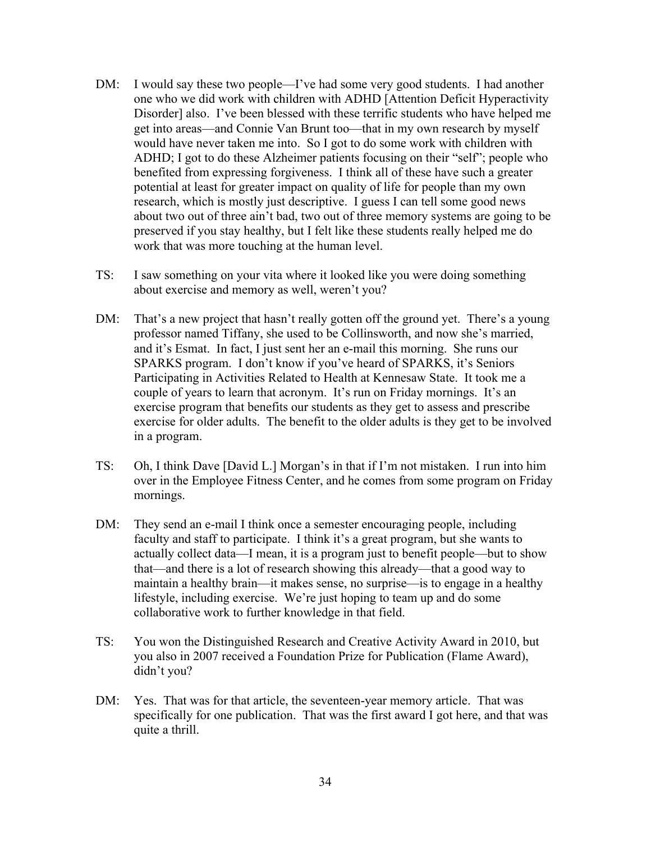- DM: I would say these two people—I've had some very good students. I had another one who we did work with children with ADHD [Attention Deficit Hyperactivity Disorder] also. I've been blessed with these terrific students who have helped me get into areas—and Connie Van Brunt too—that in my own research by myself would have never taken me into. So I got to do some work with children with ADHD; I got to do these Alzheimer patients focusing on their "self"; people who benefited from expressing forgiveness. I think all of these have such a greater potential at least for greater impact on quality of life for people than my own research, which is mostly just descriptive. I guess I can tell some good news about two out of three ain't bad, two out of three memory systems are going to be preserved if you stay healthy, but I felt like these students really helped me do work that was more touching at the human level.
- TS: I saw something on your vita where it looked like you were doing something about exercise and memory as well, weren't you?
- DM: That's a new project that hasn't really gotten off the ground yet. There's a young professor named Tiffany, she used to be Collinsworth, and now she's married, and it's Esmat. In fact, I just sent her an e-mail this morning. She runs our SPARKS program. I don't know if you've heard of SPARKS, it's Seniors Participating in Activities Related to Health at Kennesaw State. It took me a couple of years to learn that acronym. It's run on Friday mornings. It's an exercise program that benefits our students as they get to assess and prescribe exercise for older adults. The benefit to the older adults is they get to be involved in a program.
- TS: Oh, I think Dave [David L.] Morgan's in that if I'm not mistaken. I run into him over in the Employee Fitness Center, and he comes from some program on Friday mornings.
- DM: They send an e-mail I think once a semester encouraging people, including faculty and staff to participate. I think it's a great program, but she wants to actually collect data—I mean, it is a program just to benefit people—but to show that—and there is a lot of research showing this already—that a good way to maintain a healthy brain—it makes sense, no surprise—is to engage in a healthy lifestyle, including exercise. We're just hoping to team up and do some collaborative work to further knowledge in that field.
- TS: You won the Distinguished Research and Creative Activity Award in 2010, but you also in 2007 received a Foundation Prize for Publication (Flame Award), didn't you?
- DM: Yes. That was for that article, the seventeen-year memory article. That was specifically for one publication. That was the first award I got here, and that was quite a thrill.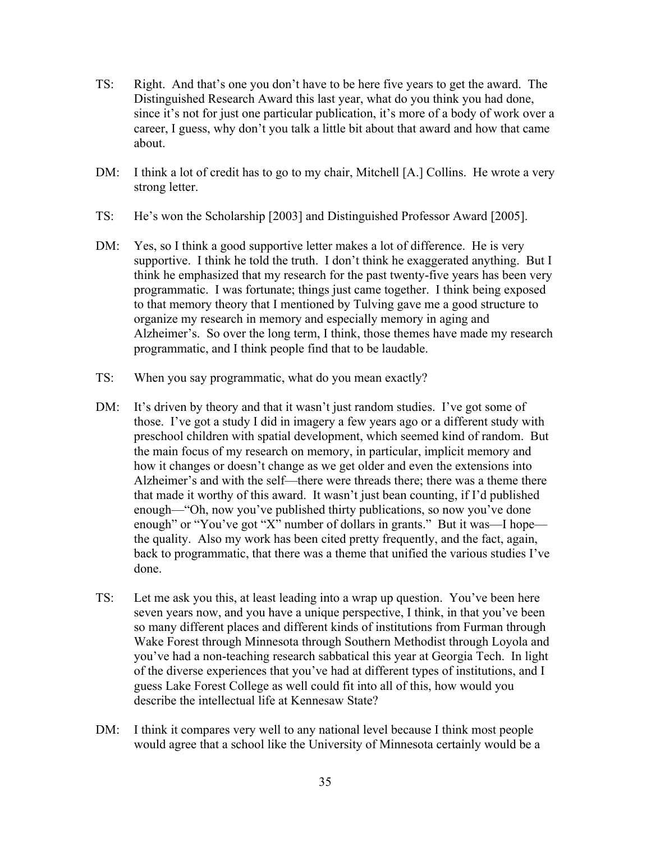- TS: Right. And that's one you don't have to be here five years to get the award. The Distinguished Research Award this last year, what do you think you had done, since it's not for just one particular publication, it's more of a body of work over a career, I guess, why don't you talk a little bit about that award and how that came about.
- DM: I think a lot of credit has to go to my chair, Mitchell [A.] Collins. He wrote a very strong letter.
- TS: He's won the Scholarship [2003] and Distinguished Professor Award [2005].
- DM: Yes, so I think a good supportive letter makes a lot of difference. He is very supportive. I think he told the truth. I don't think he exaggerated anything. But I think he emphasized that my research for the past twenty-five years has been very programmatic. I was fortunate; things just came together. I think being exposed to that memory theory that I mentioned by Tulving gave me a good structure to organize my research in memory and especially memory in aging and Alzheimer's. So over the long term, I think, those themes have made my research programmatic, and I think people find that to be laudable.
- TS: When you say programmatic, what do you mean exactly?
- DM: It's driven by theory and that it wasn't just random studies. I've got some of those. I've got a study I did in imagery a few years ago or a different study with preschool children with spatial development, which seemed kind of random. But the main focus of my research on memory, in particular, implicit memory and how it changes or doesn't change as we get older and even the extensions into Alzheimer's and with the self—there were threads there; there was a theme there that made it worthy of this award. It wasn't just bean counting, if I'd published enough—"Oh, now you've published thirty publications, so now you've done enough" or "You've got "X" number of dollars in grants." But it was—I hope the quality. Also my work has been cited pretty frequently, and the fact, again, back to programmatic, that there was a theme that unified the various studies I've done.
- TS: Let me ask you this, at least leading into a wrap up question. You've been here seven years now, and you have a unique perspective, I think, in that you've been so many different places and different kinds of institutions from Furman through Wake Forest through Minnesota through Southern Methodist through Loyola and you've had a non-teaching research sabbatical this year at Georgia Tech. In light of the diverse experiences that you've had at different types of institutions, and I guess Lake Forest College as well could fit into all of this, how would you describe the intellectual life at Kennesaw State?
- DM: I think it compares very well to any national level because I think most people would agree that a school like the University of Minnesota certainly would be a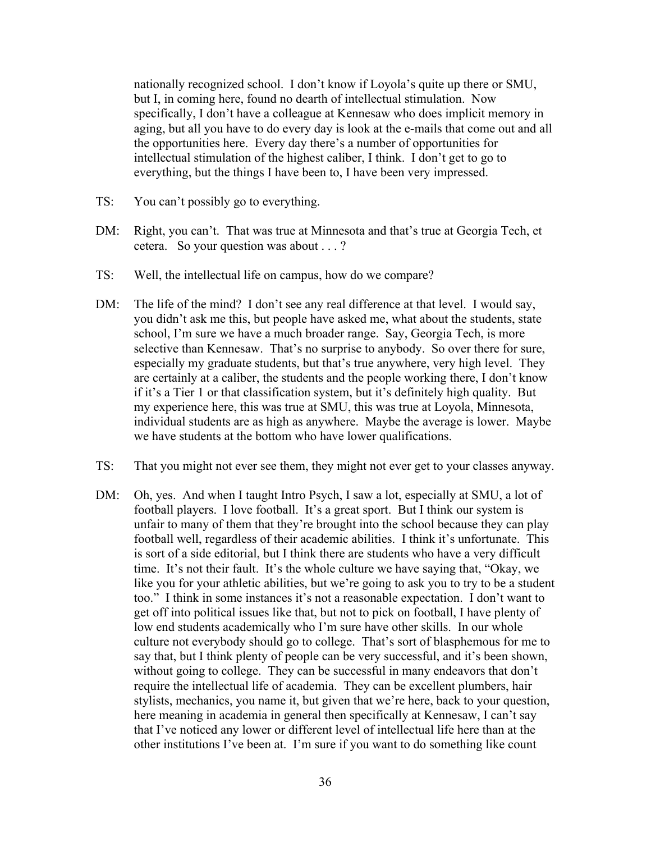nationally recognized school. I don't know if Loyola's quite up there or SMU, but I, in coming here, found no dearth of intellectual stimulation. Now specifically, I don't have a colleague at Kennesaw who does implicit memory in aging, but all you have to do every day is look at the e-mails that come out and all the opportunities here. Every day there's a number of opportunities for intellectual stimulation of the highest caliber, I think. I don't get to go to everything, but the things I have been to, I have been very impressed.

- TS: You can't possibly go to everything.
- DM: Right, you can't. That was true at Minnesota and that's true at Georgia Tech, et cetera. So your question was about . . . ?
- TS: Well, the intellectual life on campus, how do we compare?
- DM: The life of the mind? I don't see any real difference at that level. I would say, you didn't ask me this, but people have asked me, what about the students, state school, I'm sure we have a much broader range. Say, Georgia Tech, is more selective than Kennesaw. That's no surprise to anybody. So over there for sure, especially my graduate students, but that's true anywhere, very high level. They are certainly at a caliber, the students and the people working there, I don't know if it's a Tier 1 or that classification system, but it's definitely high quality. But my experience here, this was true at SMU, this was true at Loyola, Minnesota, individual students are as high as anywhere. Maybe the average is lower. Maybe we have students at the bottom who have lower qualifications.
- TS: That you might not ever see them, they might not ever get to your classes anyway.
- DM: Oh, yes. And when I taught Intro Psych, I saw a lot, especially at SMU, a lot of football players. I love football. It's a great sport. But I think our system is unfair to many of them that they're brought into the school because they can play football well, regardless of their academic abilities. I think it's unfortunate. This is sort of a side editorial, but I think there are students who have a very difficult time. It's not their fault. It's the whole culture we have saying that, "Okay, we like you for your athletic abilities, but we're going to ask you to try to be a student too." I think in some instances it's not a reasonable expectation. I don't want to get off into political issues like that, but not to pick on football, I have plenty of low end students academically who I'm sure have other skills. In our whole culture not everybody should go to college. That's sort of blasphemous for me to say that, but I think plenty of people can be very successful, and it's been shown, without going to college. They can be successful in many endeavors that don't require the intellectual life of academia. They can be excellent plumbers, hair stylists, mechanics, you name it, but given that we're here, back to your question, here meaning in academia in general then specifically at Kennesaw, I can't say that I've noticed any lower or different level of intellectual life here than at the other institutions I've been at. I'm sure if you want to do something like count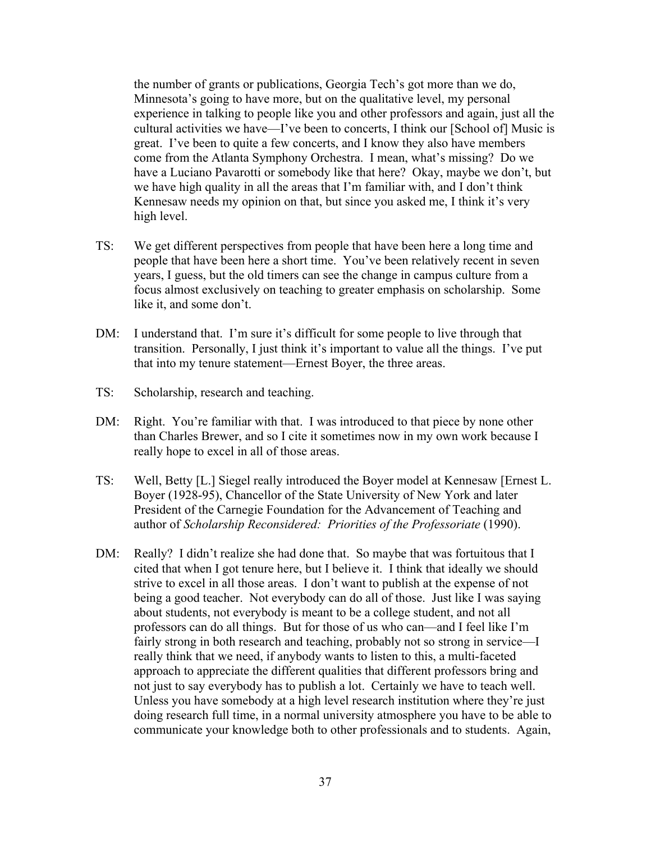the number of grants or publications, Georgia Tech's got more than we do, Minnesota's going to have more, but on the qualitative level, my personal experience in talking to people like you and other professors and again, just all the cultural activities we have—I've been to concerts, I think our [School of] Music is great. I've been to quite a few concerts, and I know they also have members come from the Atlanta Symphony Orchestra. I mean, what's missing? Do we have a Luciano Pavarotti or somebody like that here? Okay, maybe we don't, but we have high quality in all the areas that I'm familiar with, and I don't think Kennesaw needs my opinion on that, but since you asked me, I think it's very high level.

- TS: We get different perspectives from people that have been here a long time and people that have been here a short time. You've been relatively recent in seven years, I guess, but the old timers can see the change in campus culture from a focus almost exclusively on teaching to greater emphasis on scholarship. Some like it, and some don't.
- DM: I understand that. I'm sure it's difficult for some people to live through that transition. Personally, I just think it's important to value all the things. I've put that into my tenure statement—Ernest Boyer, the three areas.
- TS: Scholarship, research and teaching.
- DM: Right. You're familiar with that. I was introduced to that piece by none other than Charles Brewer, and so I cite it sometimes now in my own work because I really hope to excel in all of those areas.
- TS: Well, Betty [L.] Siegel really introduced the Boyer model at Kennesaw [Ernest L. Boyer (1928-95), Chancellor of the State University of New York and later President of the Carnegie Foundation for the Advancement of Teaching and author of *Scholarship Reconsidered: Priorities of the Professoriate* (1990).
- DM: Really? I didn't realize she had done that. So maybe that was fortuitous that I cited that when I got tenure here, but I believe it. I think that ideally we should strive to excel in all those areas. I don't want to publish at the expense of not being a good teacher. Not everybody can do all of those. Just like I was saying about students, not everybody is meant to be a college student, and not all professors can do all things. But for those of us who can—and I feel like I'm fairly strong in both research and teaching, probably not so strong in service—I really think that we need, if anybody wants to listen to this, a multi-faceted approach to appreciate the different qualities that different professors bring and not just to say everybody has to publish a lot. Certainly we have to teach well. Unless you have somebody at a high level research institution where they're just doing research full time, in a normal university atmosphere you have to be able to communicate your knowledge both to other professionals and to students. Again,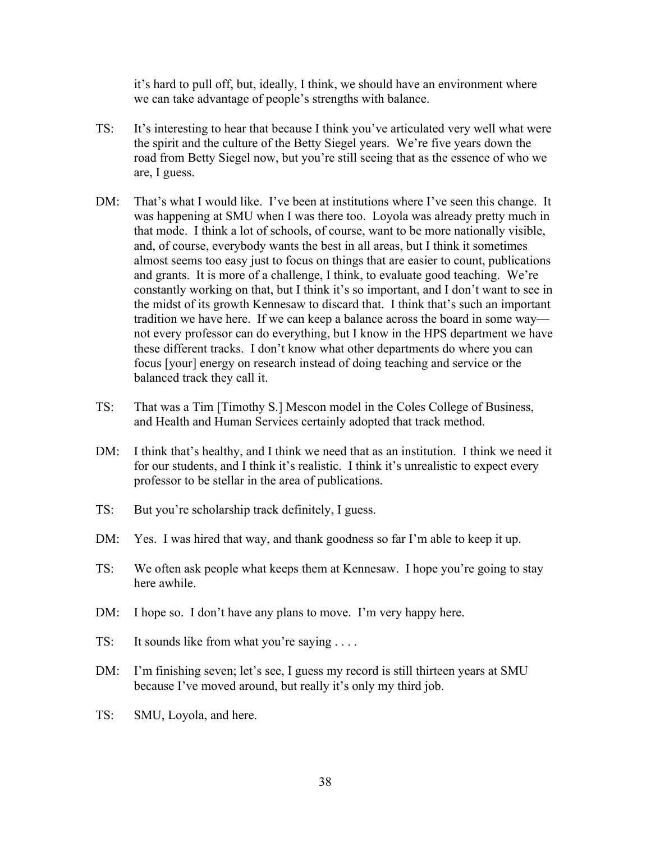it's hard to pull off, but, ideally, I think, we should have an environment where we can take advantage of people's strengths with balance.

- TS: It's interesting to hear that because I think you've articulated very well what were the spirit and the culture of the Betty Siegel years. We're five years down the road from Betty Siegel now, but you're still seeing that as the essence of who we are, I guess.
- DM: That's what I would like. I've been at institutions where I've seen this change. It was happening at SMU when I was there too. Loyola was already pretty much in that mode. I think a lot of schools, of course, want to be more nationally visible, and, of course, everybody wants the best in all areas, but I think it sometimes almost seems too easy just to focus on things that are easier to count, publications and grants. It is more of a challenge, I think, to evaluate good teaching. We're constantly working on that, but I think it's so important, and I don't want to see in the midst of its growth Kennesaw to discard that. I think that's such an important tradition we have here. If we can keep a balance across the board in some way not every professor can do everything, but I know in the HPS department we have these different tracks. I don't know what other departments do where you can focus [your] energy on research instead of doing teaching and service or the balanced track they call it.
- TS: That was a Tim [Timothy S.] Mescon model in the Coles College of Business, and Health and Human Services certainly adopted that track method.
- DM: I think that's healthy, and I think we need that as an institution. I think we need it for our students, and I think it's realistic. I think it's unrealistic to expect every professor to be stellar in the area of publications.
- TS: But you're scholarship track definitely, I guess.
- DM: Yes. I was hired that way, and thank goodness so far I'm able to keep it up.
- TS: We often ask people what keeps them at Kennesaw. I hope you're going to stay here awhile.
- DM: I hope so. I don't have any plans to move. I'm very happy here.
- TS: It sounds like from what you're saying . . . .
- DM: I'm finishing seven; let's see, I guess my record is still thirteen years at SMU because I've moved around, but really it's only my third job.
- TS: SMU, Loyola, and here.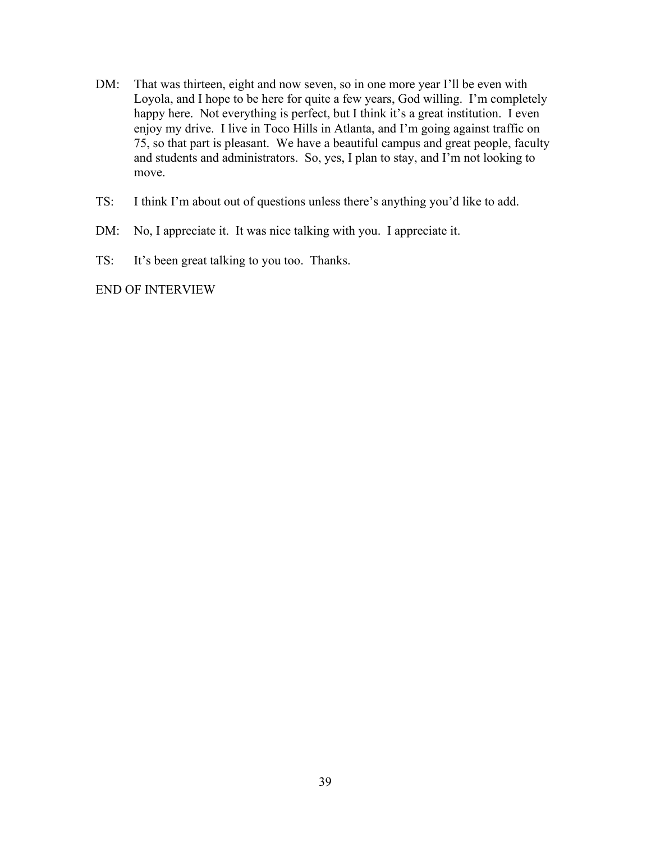- DM: That was thirteen, eight and now seven, so in one more year I'll be even with Loyola, and I hope to be here for quite a few years, God willing. I'm completely happy here. Not everything is perfect, but I think it's a great institution. I even enjoy my drive. I live in Toco Hills in Atlanta, and I'm going against traffic on 75, so that part is pleasant. We have a beautiful campus and great people, faculty and students and administrators. So, yes, I plan to stay, and I'm not looking to move.
- TS: I think I'm about out of questions unless there's anything you'd like to add.
- DM: No, I appreciate it. It was nice talking with you. I appreciate it.
- TS: It's been great talking to you too. Thanks.

#### END OF INTERVIEW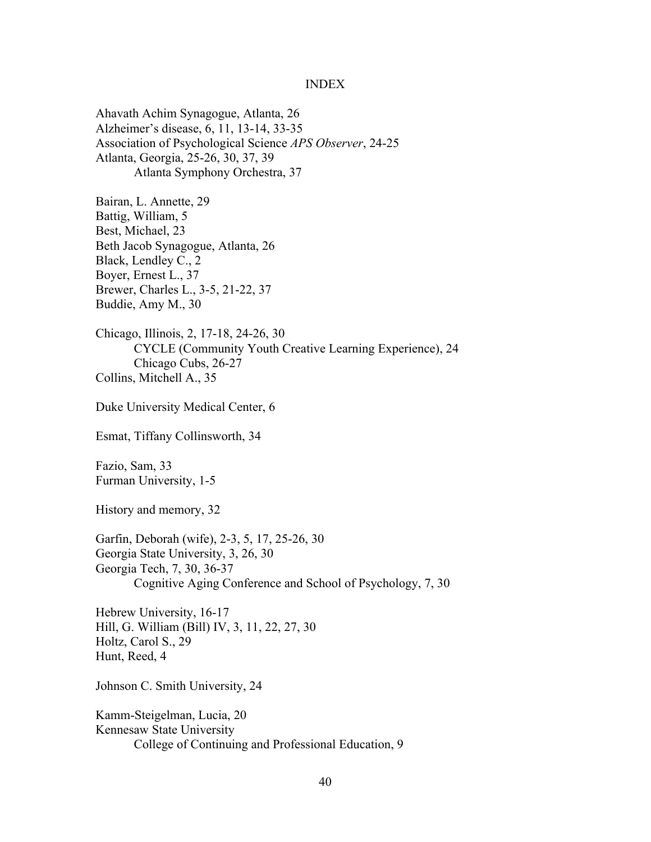#### INDEX

Ahavath Achim Synagogue, Atlanta, 26 Alzheimer's disease, 6, 11, 13-14, 33-35 Association of Psychological Science *APS Observer*, 24-25 Atlanta, Georgia, 25-26, 30, 37, 39 Atlanta Symphony Orchestra, 37

Bairan, L. Annette, 29 Battig, William, 5 Best, Michael, 23 Beth Jacob Synagogue, Atlanta, 26 Black, Lendley C., 2 Boyer, Ernest L., 37 Brewer, Charles L., 3-5, 21-22, 37 Buddie, Amy M., 30

Chicago, Illinois, 2, 17-18, 24-26, 30 CYCLE (Community Youth Creative Learning Experience), 24 Chicago Cubs, 26-27 Collins, Mitchell A., 35

Duke University Medical Center, 6

Esmat, Tiffany Collinsworth, 34

Fazio, Sam, 33 Furman University, 1-5

History and memory, 32

Garfin, Deborah (wife), 2-3, 5, 17, 25-26, 30 Georgia State University, 3, 26, 30 Georgia Tech, 7, 30, 36-37 Cognitive Aging Conference and School of Psychology, 7, 30

Hebrew University, 16-17 Hill, G. William (Bill) IV, 3, 11, 22, 27, 30 Holtz, Carol S., 29 Hunt, Reed, 4

Johnson C. Smith University, 24

Kamm-Steigelman, Lucia, 20 Kennesaw State University College of Continuing and Professional Education, 9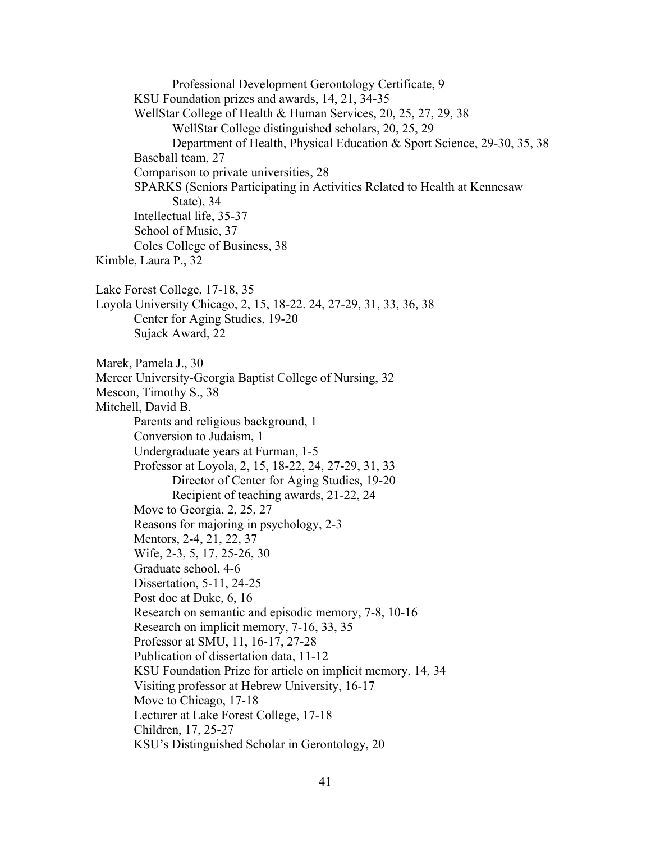Professional Development Gerontology Certificate, 9 KSU Foundation prizes and awards, 14, 21, 34-35 WellStar College of Health & Human Services, 20, 25, 27, 29, 38 WellStar College distinguished scholars, 20, 25, 29 Department of Health, Physical Education & Sport Science, 29-30, 35, 38 Baseball team, 27 Comparison to private universities, 28 SPARKS (Seniors Participating in Activities Related to Health at Kennesaw State), 34 Intellectual life, 35-37 School of Music, 37 Coles College of Business, 38 Kimble, Laura P., 32 Lake Forest College, 17-18, 35 Loyola University Chicago, 2, 15, 18-22. 24, 27-29, 31, 33, 36, 38 Center for Aging Studies, 19-20 Sujack Award, 22 Marek, Pamela J., 30 Mercer University-Georgia Baptist College of Nursing, 32 Mescon, Timothy S., 38 Mitchell, David B. Parents and religious background, 1 Conversion to Judaism, 1 Undergraduate years at Furman, 1-5 Professor at Loyola, 2, 15, 18-22, 24, 27-29, 31, 33 Director of Center for Aging Studies, 19-20 Recipient of teaching awards, 21-22, 24 Move to Georgia, 2, 25, 27 Reasons for majoring in psychology, 2-3 Mentors, 2-4, 21, 22, 37 Wife, 2-3, 5, 17, 25-26, 30 Graduate school, 4-6 Dissertation, 5-11, 24-25 Post doc at Duke, 6, 16 Research on semantic and episodic memory, 7-8, 10-16 Research on implicit memory, 7-16, 33, 35 Professor at SMU, 11, 16-17, 27-28 Publication of dissertation data, 11-12 KSU Foundation Prize for article on implicit memory, 14, 34 Visiting professor at Hebrew University, 16-17 Move to Chicago, 17-18 Lecturer at Lake Forest College, 17-18 Children, 17, 25-27 KSU's Distinguished Scholar in Gerontology, 20